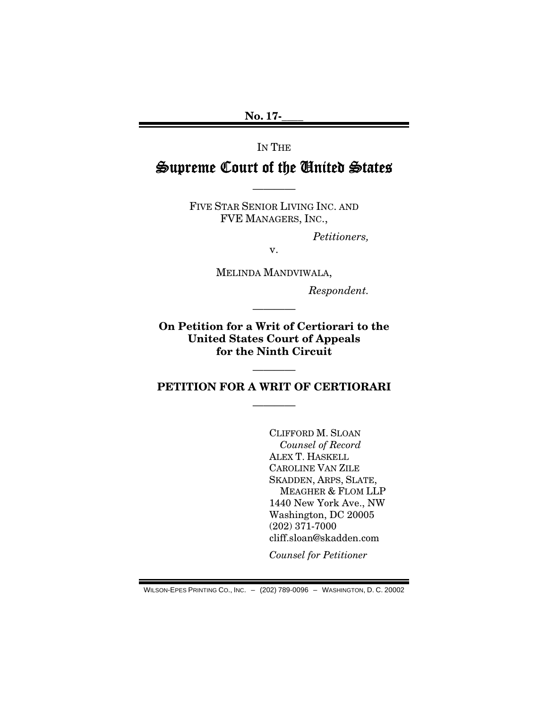No. 17-\_\_\_\_

IN THE

## Supreme Court of the United States

————

FIVE STAR SENIOR LIVING INC. AND FVE MANAGERS, INC.,

*Petitioners,* 

v.

MELINDA MANDVIWALA,

*Respondent.* 

On Petition for a Writ of Certiorari to the United States Court of Appeals for the Ninth Circuit

————

PETITION FOR A WRIT OF CERTIORARI

————

————

CLIFFORD M. SLOAN *Counsel of Record*  ALEX T. HASKELL CAROLINE VAN ZILE SKADDEN, ARPS, SLATE, MEAGHER & FLOM LLP 1440 New York Ave., NW Washington, DC 20005 (202) 371-7000 cliff.sloan@skadden.com

*Counsel for Petitioner* 

WILSON-EPES PRINTING CO., INC. – (202) 789-0096 – WASHINGTON, D. C. 20002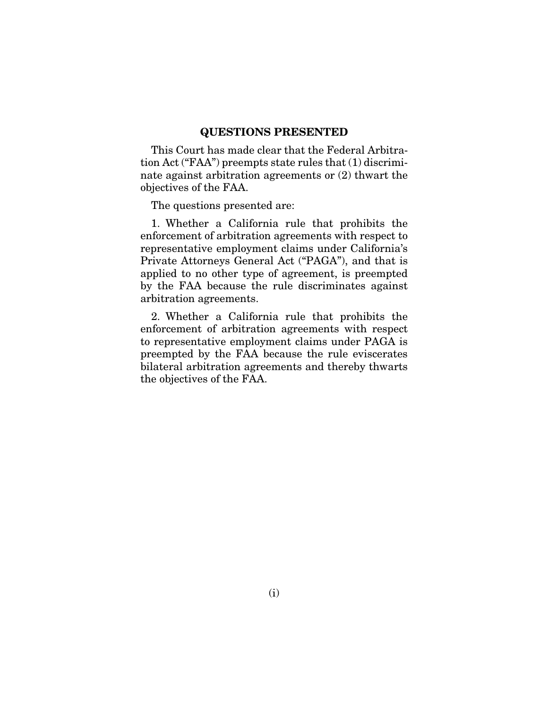#### QUESTIONS PRESENTED

This Court has made clear that the Federal Arbitration Act ("FAA") preempts state rules that (1) discriminate against arbitration agreements or (2) thwart the objectives of the FAA.

The questions presented are:

1. Whether a California rule that prohibits the enforcement of arbitration agreements with respect to representative employment claims under California's Private Attorneys General Act ("PAGA"), and that is applied to no other type of agreement, is preempted by the FAA because the rule discriminates against arbitration agreements.

2. Whether a California rule that prohibits the enforcement of arbitration agreements with respect to representative employment claims under PAGA is preempted by the FAA because the rule eviscerates bilateral arbitration agreements and thereby thwarts the objectives of the FAA.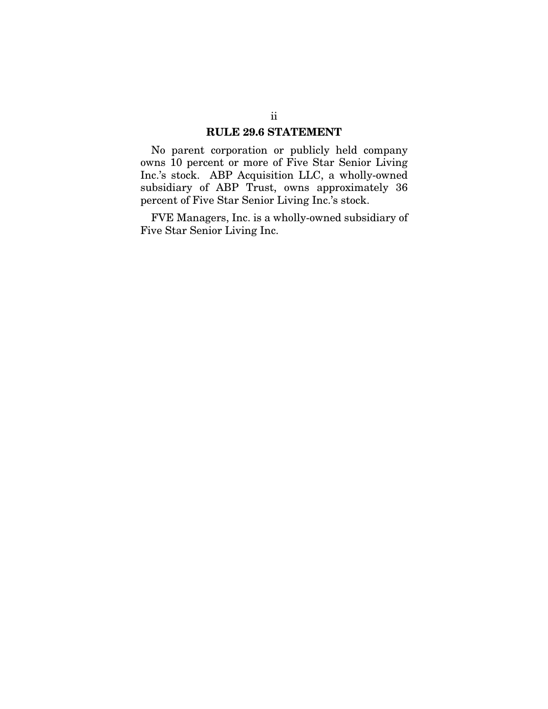#### RULE 29.6 STATEMENT

No parent corporation or publicly held company owns 10 percent or more of Five Star Senior Living Inc.'s stock. ABP Acquisition LLC, a wholly-owned subsidiary of ABP Trust, owns approximately 36 percent of Five Star Senior Living Inc.'s stock.

FVE Managers, Inc. is a wholly-owned subsidiary of Five Star Senior Living Inc.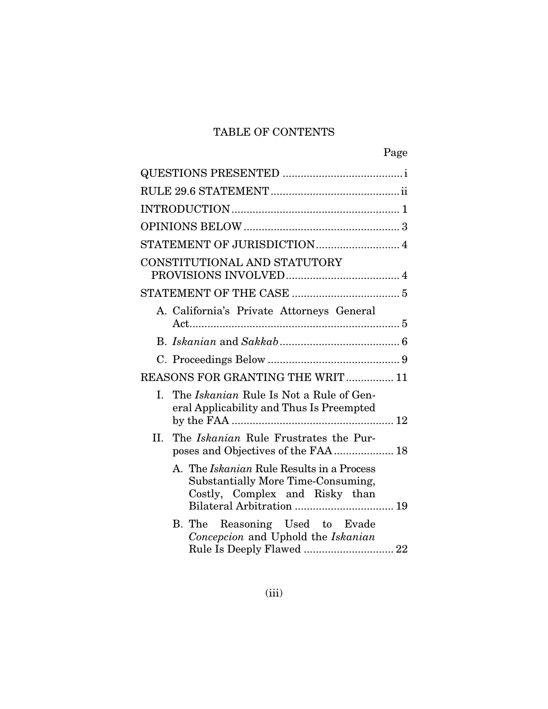## TABLE OF CONTENTS

| Page                                                                                                                                                  |  |
|-------------------------------------------------------------------------------------------------------------------------------------------------------|--|
|                                                                                                                                                       |  |
|                                                                                                                                                       |  |
|                                                                                                                                                       |  |
|                                                                                                                                                       |  |
|                                                                                                                                                       |  |
| CONSTITUTIONAL AND STATUTORY                                                                                                                          |  |
|                                                                                                                                                       |  |
| A. California's Private Attorneys General                                                                                                             |  |
|                                                                                                                                                       |  |
|                                                                                                                                                       |  |
| REASONS FOR GRANTING THE WRIT 11                                                                                                                      |  |
| The <i>Iskanian</i> Rule Is Not a Rule of Gen-<br>L.<br>eral Applicability and Thus Is Preempted                                                      |  |
| II.<br>The <i>Iskanian</i> Rule Frustrates the Pur-                                                                                                   |  |
| A. The <i>Iskanian</i> Rule Results in a Process<br>Substantially More Time-Consuming,<br>Costly, Complex and Risky than<br>Bilateral Arbitration  19 |  |
| Reasoning Used to Evade<br>B. The<br>Concepcion and Uphold the Iskanian                                                                               |  |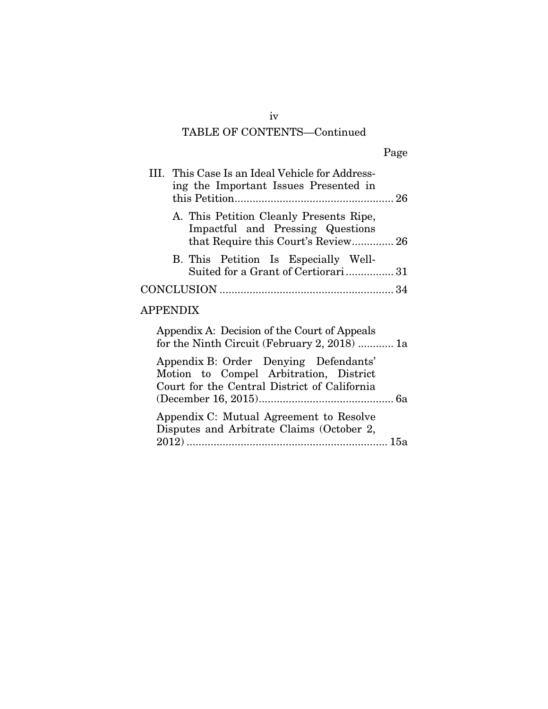## TABLE OF CONTENTS—Continued

| III. This Case Is an Ideal Vehicle for Address-<br>ing the Important Issues Presented in                                        |
|---------------------------------------------------------------------------------------------------------------------------------|
| A. This Petition Cleanly Presents Ripe,<br>Impactful and Pressing Questions<br>that Require this Court's Review 26              |
| B. This Petition Is Especially Well-<br>Suited for a Grant of Certiorari31                                                      |
|                                                                                                                                 |
| <b>APPENDIX</b>                                                                                                                 |
| Appendix A: Decision of the Court of Appeals<br>for the Ninth Circuit (February 2, 2018)  1a                                    |
| Appendix B: Order Denying Defendants'<br>Motion to Compel Arbitration, District<br>Court for the Central District of California |
| Appendix C: Mutual Agreement to Resolve                                                                                         |

| Typerium O. Mutuar rigicement to hesorve  |
|-------------------------------------------|
| Disputes and Arbitrate Claims (October 2, |
|                                           |
|                                           |
|                                           |

iv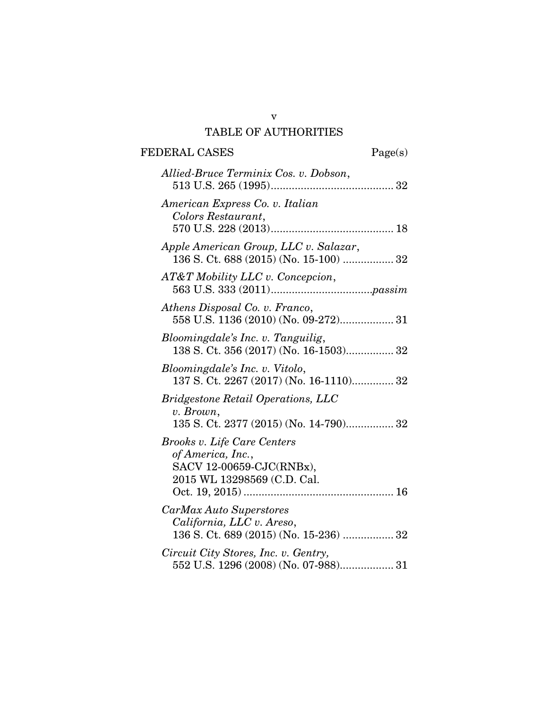## v TABLE OF AUTHORITIES

## FEDERAL CASES Page(s)

| Allied-Bruce Terminix Cos. v. Dobson,                                                                       |
|-------------------------------------------------------------------------------------------------------------|
| American Express Co. v. Italian<br>Colors Restaurant,                                                       |
| Apple American Group, LLC v. Salazar,<br>136 S. Ct. 688 (2015) (No. 15-100)  32                             |
| AT&T Mobility LLC v. Concepcion,                                                                            |
| Athens Disposal Co. v. Franco,<br>558 U.S. 1136 (2010) (No. 09-272) 31                                      |
| Bloomingdale's Inc. v. Tanguilig,<br>138 S. Ct. 356 (2017) (No. 16-1503) 32                                 |
| Bloomingdale's Inc. v. Vitolo,<br>137 S. Ct. 2267 (2017) (No. 16-1110) 32                                   |
| <b>Bridgestone Retail Operations, LLC</b><br>v. Brown,<br>135 S. Ct. 2377 (2015) (No. 14-790) 32            |
| Brooks v. Life Care Centers<br>of America, Inc.,<br>SACV 12-00659-CJC(RNBx),<br>2015 WL 13298569 (C.D. Cal. |
| CarMax Auto Superstores<br>California, LLC v. Areso,<br>136 S. Ct. 689 (2015) (No. 15-236)  32              |
| Circuit City Stores, Inc. v. Gentry,<br>552 U.S. 1296 (2008) (No. 07-988) 31                                |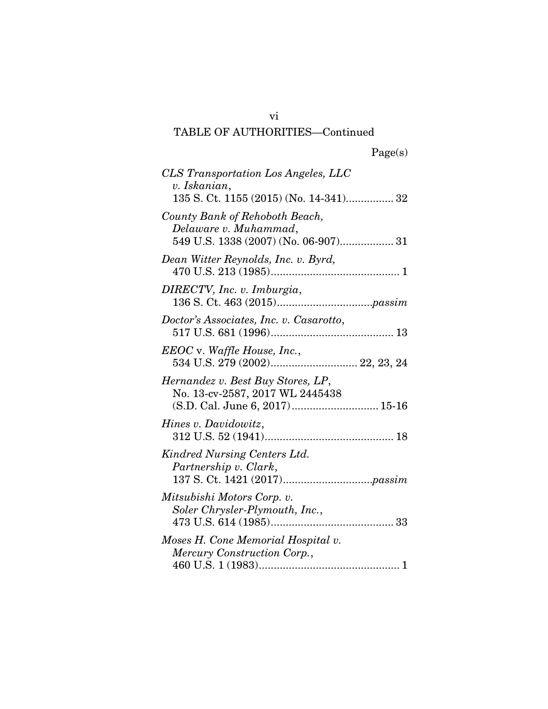## Page(s)

| CLS Transportation Los Angeles, LLC<br>v. Iskanian,                                                    |
|--------------------------------------------------------------------------------------------------------|
| County Bank of Rehoboth Beach,<br>Delaware v. Muhammad,<br>549 U.S. 1338 (2007) (No. 06-907) 31        |
| Dean Witter Reynolds, Inc. v. Byrd,                                                                    |
| DIRECTV, Inc. v. Imburgia,                                                                             |
| Doctor's Associates, Inc. v. Casarotto,                                                                |
| EEOC v. Waffle House, Inc.,                                                                            |
| Hernandez v. Best Buy Stores, LP,<br>No. 13-cv-2587, 2017 WL 2445438<br>(S.D. Cal. June 6, 2017) 15-16 |
| Hines v. Davidowitz,                                                                                   |
| Kindred Nursing Centers Ltd.<br>Partnership v. Clark,                                                  |
| Mitsubishi Motors Corp. v.<br>Soler Chrysler-Plymouth, Inc.,                                           |
| Moses H. Cone Memorial Hospital v.<br>Mercury Construction Corp.,                                      |

vi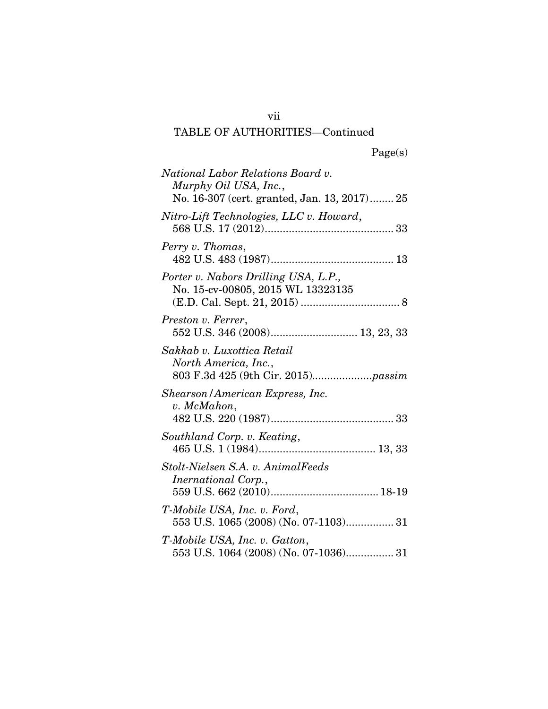| National Labor Relations Board v.<br>Murphy Oil USA, Inc.,<br>No. 16-307 (cert. granted, Jan. 13, 2017) 25 |
|------------------------------------------------------------------------------------------------------------|
| Nitro-Lift Technologies, LLC v. Howard,                                                                    |
| Perry v. Thomas,                                                                                           |
| Porter v. Nabors Drilling USA, L.P.,<br>No. 15-cv-00805, 2015 WL 13323135                                  |
| Preston v. Ferrer,<br>552 U.S. 346 (2008) 13, 23, 33                                                       |
| Sakkab v. Luxottica Retail<br>North America, Inc.,                                                         |
| Shearson/American Express, Inc.<br>v. McMahon,                                                             |
| Southland Corp. v. Keating,                                                                                |
| Stolt-Nielsen S.A. v. AnimalFeeds<br><i>Inernational Corp.,</i>                                            |
| T-Mobile USA, Inc. v. Ford,<br>553 U.S. 1065 (2008) (No. 07-1103) 31                                       |
| T-Mobile USA, Inc. v. Gatton,<br>553 U.S. 1064 (2008) (No. 07-1036) 31                                     |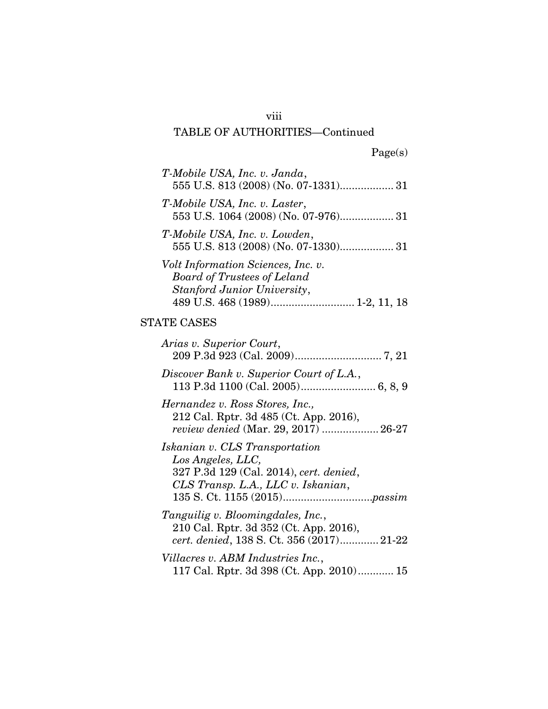## viii

## TABLE OF AUTHORITIES—Continued

| T-Mobile USA, Inc. v. Janda,<br>555 U.S. 813 (2008) (No. 07-1331) 31                                                                 |
|--------------------------------------------------------------------------------------------------------------------------------------|
| T-Mobile USA, Inc. v. Laster,<br>553 U.S. 1064 (2008) (No. 07-976) 31                                                                |
| T-Mobile USA, Inc. v. Lowden,<br>555 U.S. 813 (2008) (No. 07-1330) 31                                                                |
| <i>Volt Information Sciences, Inc. v.</i><br><b>Board of Trustees of Leland</b><br>Stanford Junior University,                       |
| <b>STATE CASES</b>                                                                                                                   |
| Arias v. Superior Court,                                                                                                             |
| Discover Bank v. Superior Court of L.A.,                                                                                             |
| Hernandez v. Ross Stores, Inc.,<br>212 Cal. Rptr. 3d 485 (Ct. App. 2016),<br>review denied (Mar. 29, 2017)  26-27                    |
| Iskanian v. CLS Transportation<br>Los Angeles, LLC,<br>327 P.3d 129 (Cal. 2014), cert. denied,<br>CLS Transp. L.A., LLC v. Iskanian, |
| Tanguilig v. Bloomingdales, Inc.,<br>210 Cal. Rptr. 3d 352 (Ct. App. 2016),                                                          |

*cert. denied*, 138 S. Ct. 356 (2017) ............. 21-22

*Villacres v. ABM Industries Inc.*, 117 Cal. Rptr. 3d 398 (Ct. App. 2010) ............ 15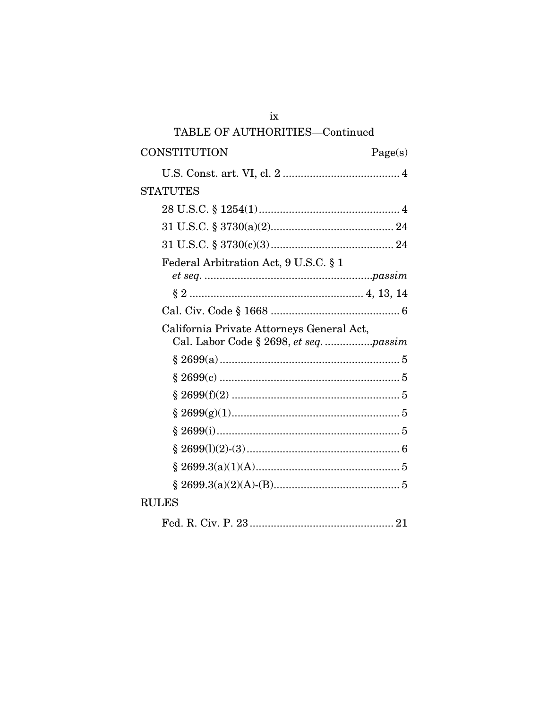| ix                                                                                  |         |
|-------------------------------------------------------------------------------------|---------|
| TABLE OF AUTHORITIES-Continued                                                      |         |
| CONSTITUTION                                                                        | Page(s) |
|                                                                                     |         |
| <b>STATUTES</b>                                                                     |         |
|                                                                                     |         |
|                                                                                     |         |
|                                                                                     |         |
| Federal Arbitration Act, 9 U.S.C. § 1                                               |         |
|                                                                                     |         |
|                                                                                     |         |
| California Private Attorneys General Act,<br>Cal. Labor Code § 2698, et seq. passim |         |
|                                                                                     |         |
|                                                                                     |         |
|                                                                                     |         |
|                                                                                     |         |
|                                                                                     |         |
|                                                                                     |         |
|                                                                                     |         |
|                                                                                     |         |
| <b>RULES</b>                                                                        |         |
| Fed. R. Civ. P. 23.                                                                 | 21      |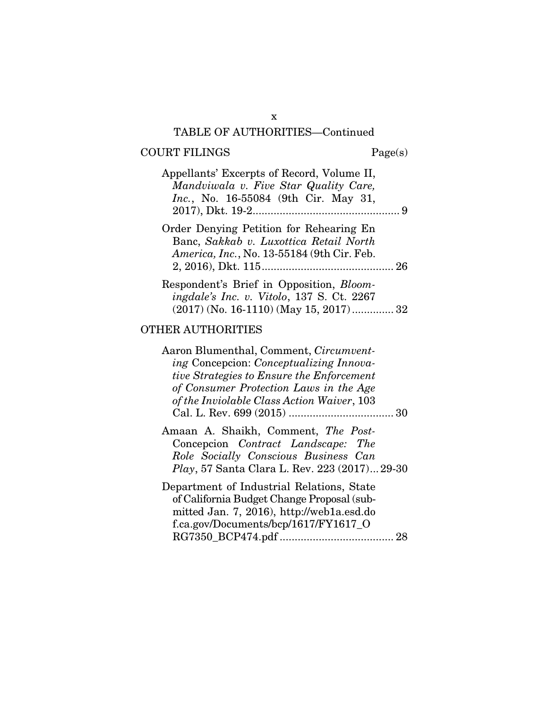#### COURT FILINGS Page(s)

| Appellants' Excerpts of Record, Volume II,<br>Mandviwala v. Five Star Quality Care,<br><i>Inc.</i> , No. 16-55084 (9th Cir. May 31, |  |
|-------------------------------------------------------------------------------------------------------------------------------------|--|
| Order Denying Petition for Rehearing En<br>Banc, Sakkab v. Luxottica Retail North<br>America, Inc., No. 13-55184 (9th Cir. Feb.     |  |
| Respondent's Brief in Opposition, Bloom-                                                                                            |  |

| <i>ingdale's Inc. v. Vitolo, 137 S. Ct. 2267</i> |
|--------------------------------------------------|
| $(2017)$ (No. 16-1110) (May 15, 2017)  32        |

### OTHER AUTHORITIES

Aaron Blumenthal, Comment, *Circumventing* Concepcion: *Conceptualizing Innovative Strategies to Ensure the Enforcement of Consumer Protection Laws in the Age of the Inviolable Class Action Waiver*, 103 Cal. L. Rev. 699 (2015) ................................... 30

- Amaan A. Shaikh, Comment, *The Post-*Concepcion *Contract Landscape: The Role Socially Conscious Business Can Play*, 57 Santa Clara L. Rev. 223 (2017) ... 29-30
- Department of Industrial Relations, State of California Budget Change Proposal (submitted Jan. 7, 2016), http://web1a.esd.do f.ca.gov/Documents/bcp/1617/FY1617\_O RG7350\_BCP474.pdf ...................................... 28

x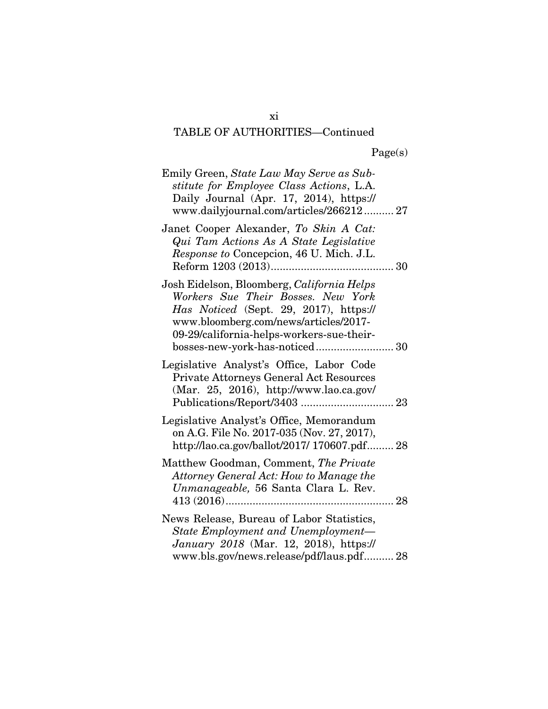| Emily Green, State Law May Serve as Sub-<br>stitute for Employee Class Actions, L.A.<br>Daily Journal (Apr. 17, 2014), https://<br>www.dailyjournal.com/articles/266212 27                                                                         |
|----------------------------------------------------------------------------------------------------------------------------------------------------------------------------------------------------------------------------------------------------|
| Janet Cooper Alexander, To Skin A Cat:<br>Qui Tam Actions As A State Legislative<br>Response to Concepcion, 46 U. Mich. J.L.                                                                                                                       |
| Josh Eidelson, Bloomberg, California Helps<br>Workers Sue Their Bosses. New York<br>Has Noticed (Sept. 29, 2017), https://<br>www.bloomberg.com/news/articles/2017-<br>09-29/california-helps-workers-sue-their-<br>bosses-new-york-has-noticed 30 |
| Legislative Analyst's Office, Labor Code<br>Private Attorneys General Act Resources<br>$(Mar. 25, 2016)$ , http://www.lao.ca.gov/                                                                                                                  |
| Legislative Analyst's Office, Memorandum<br>on A.G. File No. 2017-035 (Nov. 27, 2017),<br>http://lao.ca.gov/ballot/2017/ 170607.pdf 28                                                                                                             |
| Matthew Goodman, Comment, The Private<br>Attorney General Act: How to Manage the<br>Unmanageable, 56 Santa Clara L. Rev.                                                                                                                           |
| News Release, Bureau of Labor Statistics,<br>State Employment and Unemployment-<br>January 2018 (Mar. 12, 2018), https://<br>www.bls.gov/news.release/pdf/laus.pdf 28                                                                              |

xi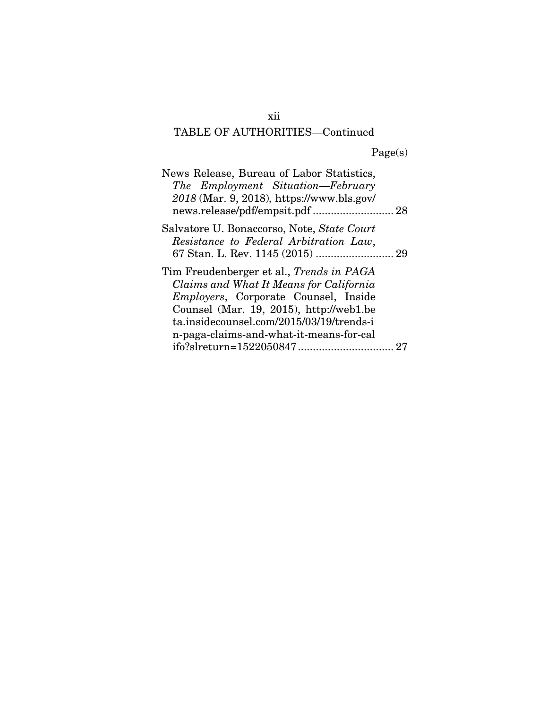| News Release, Bureau of Labor Statistics,<br>The Employment Situation-February<br>2018 (Mar. 9, 2018), https://www.bls.gov/<br>news.release/pdf/empsit.pdf  28 |  |
|----------------------------------------------------------------------------------------------------------------------------------------------------------------|--|
| Salvatore U. Bonaccorso, Note, State Court                                                                                                                     |  |
| Resistance to Federal Arbitration Law,                                                                                                                         |  |
|                                                                                                                                                                |  |
| Tim Freudenberger et al., <i>Trends in PAGA</i>                                                                                                                |  |
| Claims and What It Means for California                                                                                                                        |  |
| Employers, Corporate Counsel, Inside                                                                                                                           |  |
| Counsel (Mar. 19, 2015), http://web1.be                                                                                                                        |  |
| ta.insidecounsel.com/2015/03/19/trends-i                                                                                                                       |  |
| n-paga-claims-and-what-it-means-for-cal                                                                                                                        |  |
|                                                                                                                                                                |  |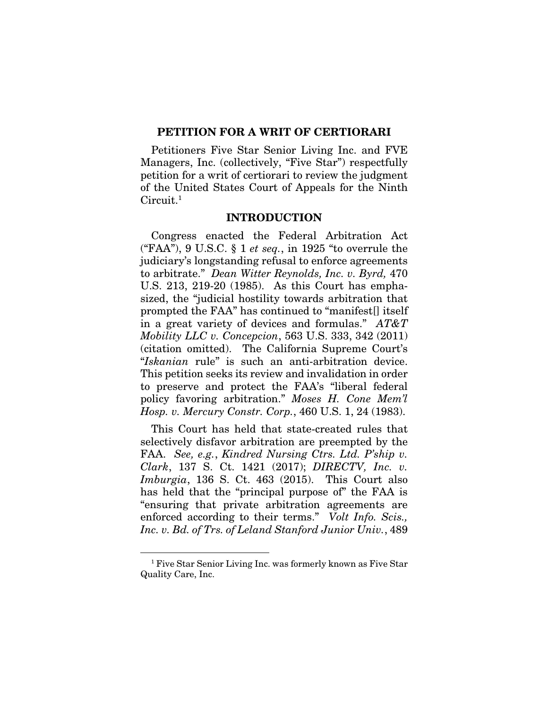#### PETITION FOR A WRIT OF CERTIORARI

Petitioners Five Star Senior Living Inc. and FVE Managers, Inc. (collectively, "Five Star") respectfully petition for a writ of certiorari to review the judgment of the United States Court of Appeals for the Ninth Circuit.<sup>1</sup>

#### INTRODUCTION

Congress enacted the Federal Arbitration Act ("FAA"), 9 U.S.C. § 1 *et seq.*, in 1925 "to overrule the judiciary's longstanding refusal to enforce agreements to arbitrate." *Dean Witter Reynolds, Inc. v. Byrd,* 470 U.S. 213, 219-20 (1985). As this Court has emphasized, the "judicial hostility towards arbitration that prompted the FAA" has continued to "manifest[] itself in a great variety of devices and formulas." *AT&T Mobility LLC v. Concepcion*, 563 U.S. 333, 342 (2011) (citation omitted). The California Supreme Court's "*Iskanian* rule" is such an anti-arbitration device. This petition seeks its review and invalidation in order to preserve and protect the FAA's "liberal federal policy favoring arbitration." *Moses H. Cone Mem'l Hosp. v. Mercury Constr. Corp.*, 460 U.S. 1, 24 (1983).

This Court has held that state-created rules that selectively disfavor arbitration are preempted by the FAA. *See, e.g.*, *Kindred Nursing Ctrs. Ltd. P'ship v. Clark*, 137 S. Ct. 1421 (2017); *DIRECTV, Inc. v. Imburgia*, 136 S. Ct. 463 (2015). This Court also has held that the "principal purpose of" the FAA is "ensuring that private arbitration agreements are enforced according to their terms." *Volt Info. Scis., Inc. v. Bd. of Trs. of Leland Stanford Junior Univ.*, 489

 $\frac{1}{1}$ <sup>1</sup> Five Star Senior Living Inc. was formerly known as Five Star Quality Care, Inc.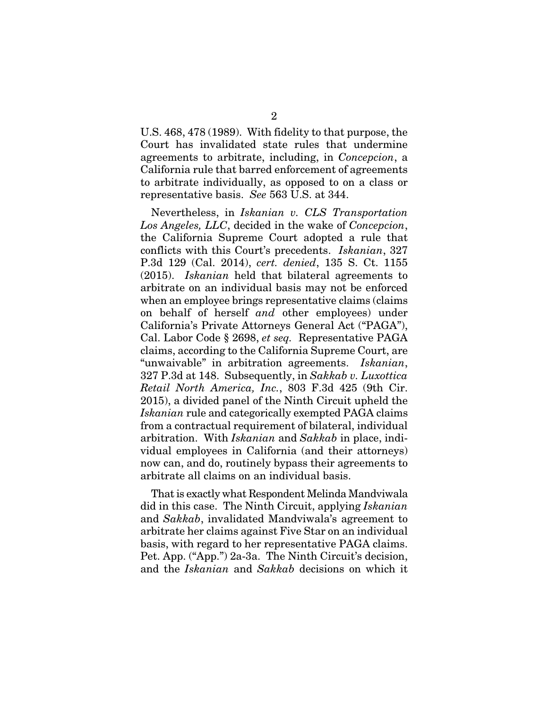U.S. 468, 478 (1989). With fidelity to that purpose, the Court has invalidated state rules that undermine agreements to arbitrate, including, in *Concepcion*, a California rule that barred enforcement of agreements to arbitrate individually, as opposed to on a class or representative basis. *See* 563 U.S. at 344.

Nevertheless, in *Iskanian v. CLS Transportation Los Angeles, LLC*, decided in the wake of *Concepcion*, the California Supreme Court adopted a rule that conflicts with this Court's precedents. *Iskanian*, 327 P.3d 129 (Cal. 2014), *cert. denied*, 135 S. Ct. 1155 (2015). *Iskanian* held that bilateral agreements to arbitrate on an individual basis may not be enforced when an employee brings representative claims (claims on behalf of herself *and* other employees) under California's Private Attorneys General Act ("PAGA"), Cal. Labor Code § 2698, *et seq.* Representative PAGA claims, according to the California Supreme Court, are "unwaivable" in arbitration agreements. *Iskanian*, 327 P.3d at 148. Subsequently, in *Sakkab v. Luxottica Retail North America, Inc.*, 803 F.3d 425 (9th Cir. 2015), a divided panel of the Ninth Circuit upheld the *Iskanian* rule and categorically exempted PAGA claims from a contractual requirement of bilateral, individual arbitration. With *Iskanian* and *Sakkab* in place, individual employees in California (and their attorneys) now can, and do, routinely bypass their agreements to arbitrate all claims on an individual basis.

That is exactly what Respondent Melinda Mandviwala did in this case. The Ninth Circuit, applying *Iskanian*  and *Sakkab*, invalidated Mandviwala's agreement to arbitrate her claims against Five Star on an individual basis, with regard to her representative PAGA claims. Pet. App. ("App.") 2a-3a. The Ninth Circuit's decision, and the *Iskanian* and *Sakkab* decisions on which it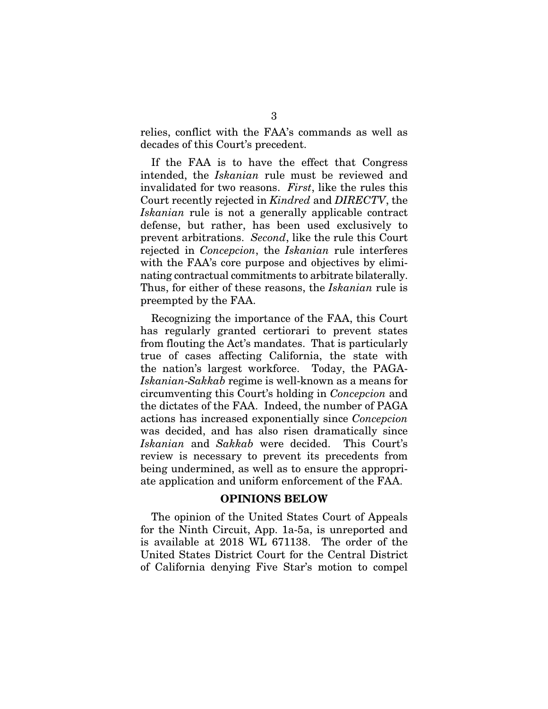relies, conflict with the FAA's commands as well as decades of this Court's precedent.

If the FAA is to have the effect that Congress intended, the *Iskanian* rule must be reviewed and invalidated for two reasons. *First*, like the rules this Court recently rejected in *Kindred* and *DIRECTV*, the *Iskanian* rule is not a generally applicable contract defense, but rather, has been used exclusively to prevent arbitrations. *Second*, like the rule this Court rejected in *Concepcion*, the *Iskanian* rule interferes with the FAA's core purpose and objectives by eliminating contractual commitments to arbitrate bilaterally. Thus, for either of these reasons, the *Iskanian* rule is preempted by the FAA.

Recognizing the importance of the FAA, this Court has regularly granted certiorari to prevent states from flouting the Act's mandates. That is particularly true of cases affecting California, the state with the nation's largest workforce. Today, the PAGA-*Iskanian*-*Sakkab* regime is well-known as a means for circumventing this Court's holding in *Concepcion* and the dictates of the FAA. Indeed, the number of PAGA actions has increased exponentially since *Concepcion*  was decided, and has also risen dramatically since *Iskanian* and *Sakkab* were decided. This Court's review is necessary to prevent its precedents from being undermined, as well as to ensure the appropriate application and uniform enforcement of the FAA.

#### OPINIONS BELOW

The opinion of the United States Court of Appeals for the Ninth Circuit, App. 1a-5a, is unreported and is available at 2018 WL 671138. The order of the United States District Court for the Central District of California denying Five Star's motion to compel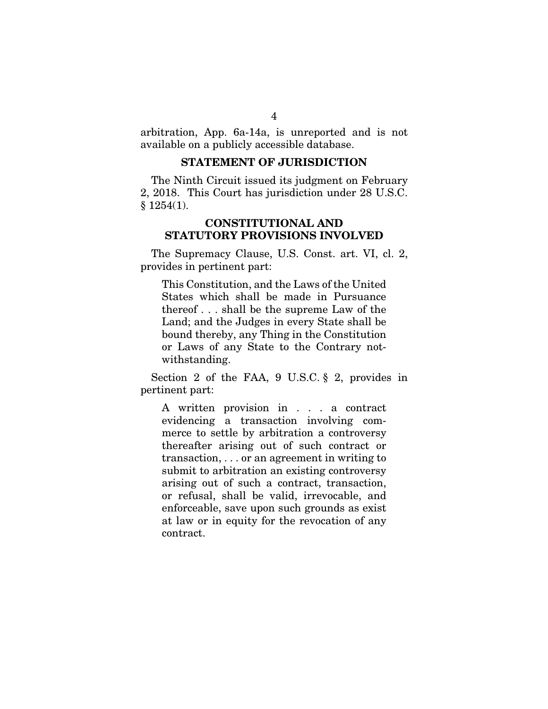arbitration, App. 6a-14a, is unreported and is not available on a publicly accessible database.

### STATEMENT OF JURISDICTION

The Ninth Circuit issued its judgment on February 2, 2018. This Court has jurisdiction under 28 U.S.C.  $§ 1254(1).$ 

## CONSTITUTIONAL AND STATUTORY PROVISIONS INVOLVED

The Supremacy Clause, U.S. Const. art. VI, cl. 2, provides in pertinent part:

This Constitution, and the Laws of the United States which shall be made in Pursuance thereof . . . shall be the supreme Law of the Land; and the Judges in every State shall be bound thereby, any Thing in the Constitution or Laws of any State to the Contrary notwithstanding.

Section 2 of the FAA, 9 U.S.C. § 2, provides in pertinent part:

A written provision in . . . a contract evidencing a transaction involving commerce to settle by arbitration a controversy thereafter arising out of such contract or transaction, . . . or an agreement in writing to submit to arbitration an existing controversy arising out of such a contract, transaction, or refusal, shall be valid, irrevocable, and enforceable, save upon such grounds as exist at law or in equity for the revocation of any contract.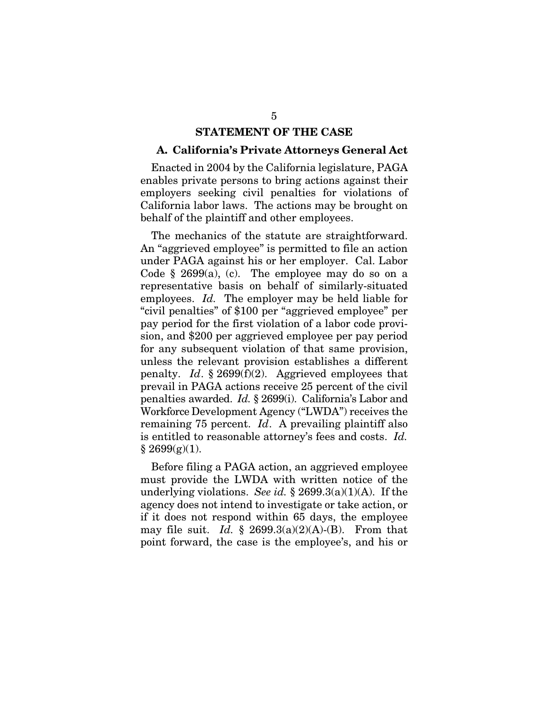#### STATEMENT OF THE CASE

#### A. California's Private Attorneys General Act

Enacted in 2004 by the California legislature, PAGA enables private persons to bring actions against their employers seeking civil penalties for violations of California labor laws. The actions may be brought on behalf of the plaintiff and other employees.

The mechanics of the statute are straightforward. An "aggrieved employee" is permitted to file an action under PAGA against his or her employer. Cal. Labor Code  $\S$  2699(a), (c). The employee may do so on a representative basis on behalf of similarly-situated employees. *Id.* The employer may be held liable for "civil penalties" of \$100 per "aggrieved employee" per pay period for the first violation of a labor code provision, and \$200 per aggrieved employee per pay period for any subsequent violation of that same provision, unless the relevant provision establishes a different penalty. *Id*. § 2699(f)(2). Aggrieved employees that prevail in PAGA actions receive 25 percent of the civil penalties awarded. *Id.* § 2699(i). California's Labor and Workforce Development Agency ("LWDA") receives the remaining 75 percent. *Id*. A prevailing plaintiff also is entitled to reasonable attorney's fees and costs. *Id.*  $§ 2699(g)(1).$ 

Before filing a PAGA action, an aggrieved employee must provide the LWDA with written notice of the underlying violations. *See id.* § 2699.3(a)(1)(A). If the agency does not intend to investigate or take action, or if it does not respond within 65 days, the employee may file suit. *Id.* § 2699.3(a)(2)(A)-(B). From that point forward, the case is the employee's, and his or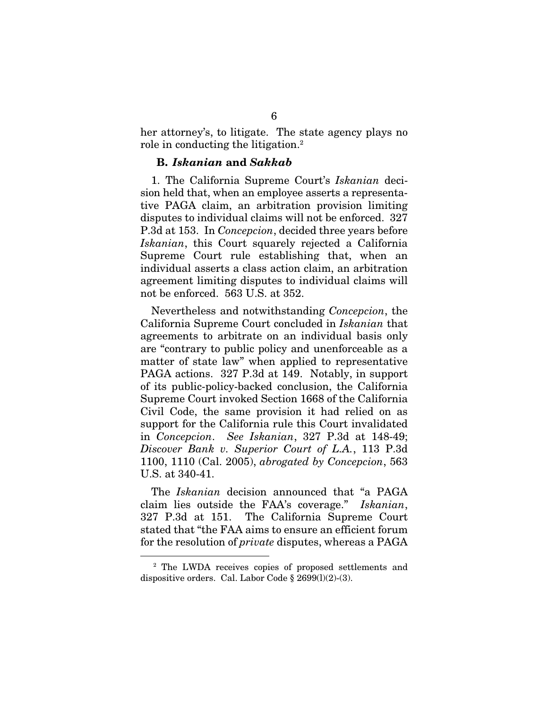her attorney's, to litigate. The state agency plays no role in conducting the litigation.<sup>2</sup>

#### B. *Iskanian* and *Sakkab*

1. The California Supreme Court's *Iskanian* decision held that, when an employee asserts a representative PAGA claim, an arbitration provision limiting disputes to individual claims will not be enforced. 327 P.3d at 153. In *Concepcion*, decided three years before *Iskanian*, this Court squarely rejected a California Supreme Court rule establishing that, when an individual asserts a class action claim, an arbitration agreement limiting disputes to individual claims will not be enforced. 563 U.S. at 352.

Nevertheless and notwithstanding *Concepcion*, the California Supreme Court concluded in *Iskanian* that agreements to arbitrate on an individual basis only are "contrary to public policy and unenforceable as a matter of state law" when applied to representative PAGA actions. 327 P.3d at 149. Notably, in support of its public-policy-backed conclusion, the California Supreme Court invoked Section 1668 of the California Civil Code, the same provision it had relied on as support for the California rule this Court invalidated in *Concepcion*. *See Iskanian*, 327 P.3d at 148-49; *Discover Bank v. Superior Court of L.A.*, 113 P.3d 1100, 1110 (Cal. 2005), *abrogated by Concepcion*, 563 U.S. at 340-41.

The *Iskanian* decision announced that "a PAGA claim lies outside the FAA's coverage." *Iskanian*, 327 P.3d at 151. The California Supreme Court stated that "the FAA aims to ensure an efficient forum for the resolution of *private* disputes, whereas a PAGA

 $\frac{1}{2}$ <sup>2</sup> The LWDA receives copies of proposed settlements and dispositive orders. Cal. Labor Code  $\S 2699(1)(2)-(3)$ .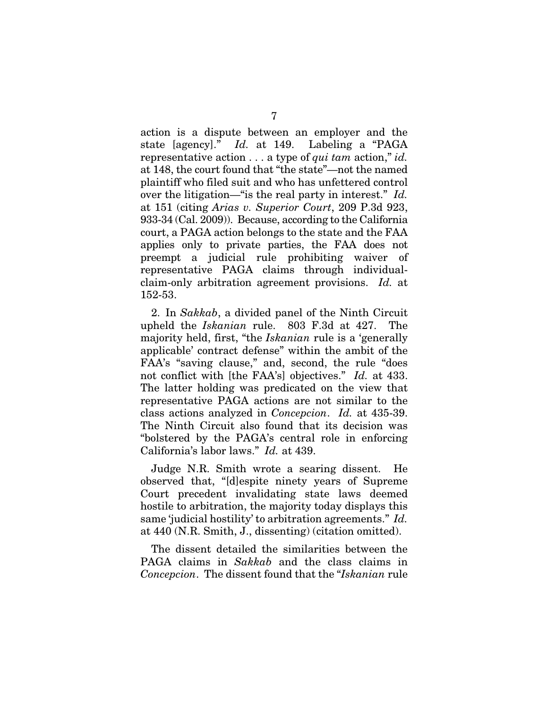action is a dispute between an employer and the state [agency]." *Id.* at 149. Labeling a "PAGA representative action . . . a type of *qui tam* action," *id.* at 148, the court found that "the state"—not the named plaintiff who filed suit and who has unfettered control over the litigation—"is the real party in interest." *Id.*  at 151 (citing *Arias v. Superior Court*, 209 P.3d 923, 933-34 (Cal. 2009)). Because, according to the California court, a PAGA action belongs to the state and the FAA applies only to private parties, the FAA does not preempt a judicial rule prohibiting waiver of representative PAGA claims through individualclaim-only arbitration agreement provisions. *Id.* at 152-53.

2. In *Sakkab*, a divided panel of the Ninth Circuit upheld the *Iskanian* rule. 803 F.3d at 427. The majority held, first, "the *Iskanian* rule is a 'generally applicable' contract defense" within the ambit of the FAA's "saving clause," and, second, the rule "does not conflict with [the FAA's] objectives." *Id.* at 433. The latter holding was predicated on the view that representative PAGA actions are not similar to the class actions analyzed in *Concepcion*. *Id.* at 435-39. The Ninth Circuit also found that its decision was "bolstered by the PAGA's central role in enforcing California's labor laws." *Id.* at 439.

Judge N.R. Smith wrote a searing dissent. He observed that, "[d]espite ninety years of Supreme Court precedent invalidating state laws deemed hostile to arbitration, the majority today displays this same 'judicial hostility' to arbitration agreements." *Id.* at 440 (N.R. Smith, J., dissenting) (citation omitted).

The dissent detailed the similarities between the PAGA claims in *Sakkab* and the class claims in *Concepcion*. The dissent found that the "*Iskanian* rule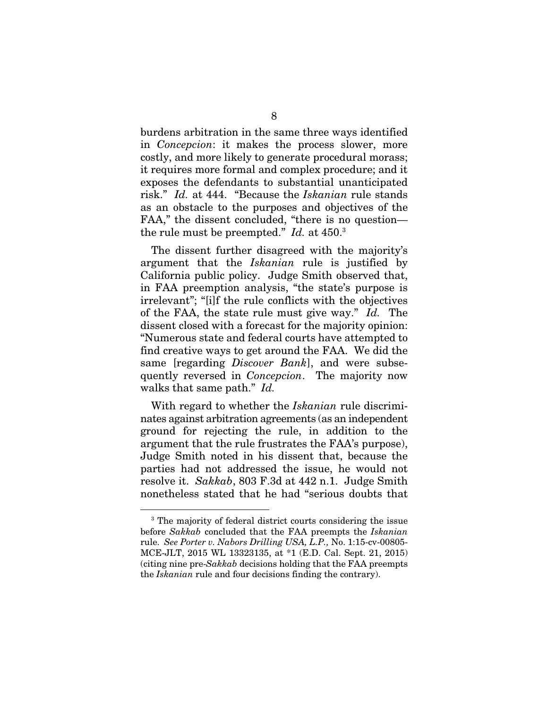burdens arbitration in the same three ways identified in *Concepcion*: it makes the process slower, more costly, and more likely to generate procedural morass; it requires more formal and complex procedure; and it exposes the defendants to substantial unanticipated risk." *Id.* at 444. "Because the *Iskanian* rule stands as an obstacle to the purposes and objectives of the FAA," the dissent concluded, "there is no question the rule must be preempted." *Id.* at 450.3

The dissent further disagreed with the majority's argument that the *Iskanian* rule is justified by California public policy. Judge Smith observed that, in FAA preemption analysis, "the state's purpose is irrelevant"; "[i]f the rule conflicts with the objectives of the FAA, the state rule must give way." *Id.* The dissent closed with a forecast for the majority opinion: "Numerous state and federal courts have attempted to find creative ways to get around the FAA. We did the same [regarding *Discover Bank*], and were subsequently reversed in *Concepcion*. The majority now walks that same path." *Id.* 

With regard to whether the *Iskanian* rule discriminates against arbitration agreements (as an independent ground for rejecting the rule, in addition to the argument that the rule frustrates the FAA's purpose), Judge Smith noted in his dissent that, because the parties had not addressed the issue, he would not resolve it. *Sakkab*, 803 F.3d at 442 n.1. Judge Smith nonetheless stated that he had "serious doubts that

 <sup>3</sup> The majority of federal district courts considering the issue before *Sakkab* concluded that the FAA preempts the *Iskanian* rule. *See Porter v. Nabors Drilling USA, L.P.,* No. 1:15-cv-00805- MCE-JLT, 2015 WL 13323135, at \*1 (E.D. Cal. Sept. 21, 2015) (citing nine pre-*Sakkab* decisions holding that the FAA preempts the *Iskanian* rule and four decisions finding the contrary).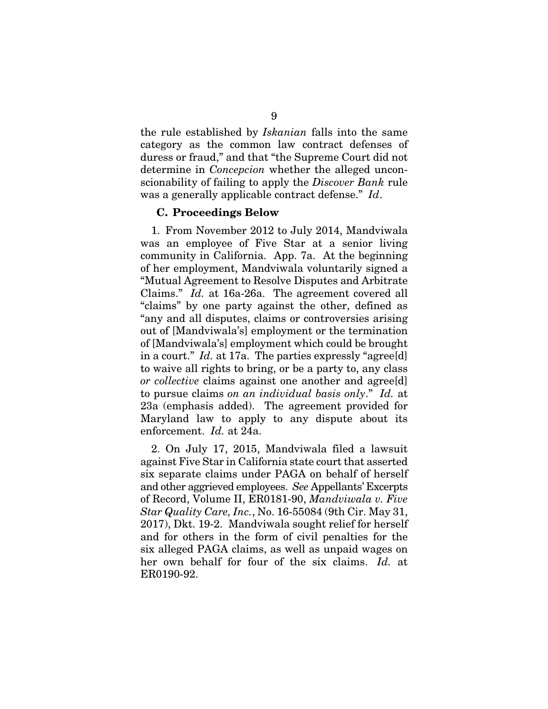the rule established by *Iskanian* falls into the same category as the common law contract defenses of duress or fraud," and that "the Supreme Court did not determine in *Concepcion* whether the alleged unconscionability of failing to apply the *Discover Bank* rule was a generally applicable contract defense." *Id*.

#### C. Proceedings Below

1. From November 2012 to July 2014, Mandviwala was an employee of Five Star at a senior living community in California. App. 7a. At the beginning of her employment, Mandviwala voluntarily signed a "Mutual Agreement to Resolve Disputes and Arbitrate Claims." *Id.* at 16a-26a. The agreement covered all "claims" by one party against the other, defined as "any and all disputes, claims or controversies arising out of [Mandviwala's] employment or the termination of [Mandviwala's] employment which could be brought in a court." *Id.* at 17a. The parties expressly "agree[d] to waive all rights to bring, or be a party to, any class *or collective* claims against one another and agree [d] to pursue claims *on an individual basis only*." *Id.* at 23a (emphasis added). The agreement provided for Maryland law to apply to any dispute about its enforcement. *Id.* at 24a.

2. On July 17, 2015, Mandviwala filed a lawsuit against Five Star in California state court that asserted six separate claims under PAGA on behalf of herself and other aggrieved employees. *See* Appellants' Excerpts of Record, Volume II, ER0181-90, *Mandviwala v. Five Star Quality Care, Inc.*, No. 16-55084 (9th Cir. May 31, 2017), Dkt. 19-2. Mandviwala sought relief for herself and for others in the form of civil penalties for the six alleged PAGA claims, as well as unpaid wages on her own behalf for four of the six claims. *Id.* at ER0190-92.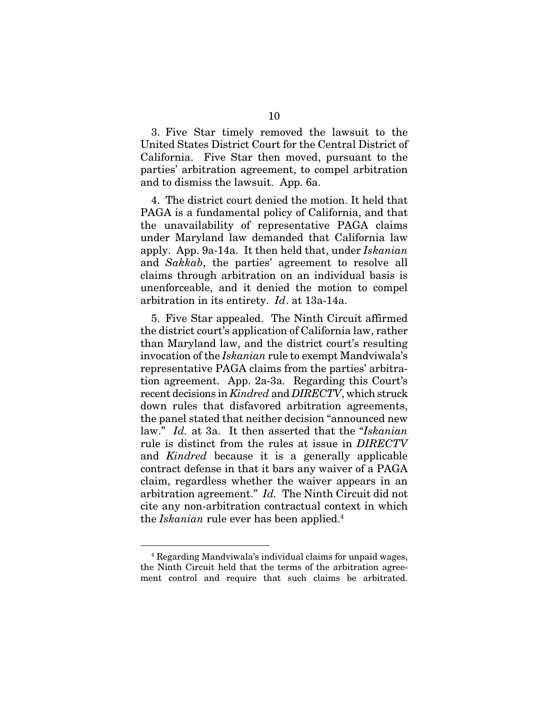3. Five Star timely removed the lawsuit to the United States District Court for the Central District of California. Five Star then moved, pursuant to the parties' arbitration agreement, to compel arbitration and to dismiss the lawsuit. App. 6a.

4. The district court denied the motion. It held that PAGA is a fundamental policy of California, and that the unavailability of representative PAGA claims under Maryland law demanded that California law apply. App. 9a-14a. It then held that, under *Iskanian*  and *Sakkab*, the parties' agreement to resolve all claims through arbitration on an individual basis is unenforceable, and it denied the motion to compel arbitration in its entirety. *Id*. at 13a-14a.

5. Five Star appealed. The Ninth Circuit affirmed the district court's application of California law, rather than Maryland law, and the district court's resulting invocation of the *Iskanian* rule to exempt Mandviwala's representative PAGA claims from the parties' arbitration agreement. App. 2a-3a. Regarding this Court's recent decisions in *Kindred* and *DIRECTV*, which struck down rules that disfavored arbitration agreements, the panel stated that neither decision "announced new law." *Id.* at 3a. It then asserted that the "*Iskanian* rule is distinct from the rules at issue in *DIRECTV*  and *Kindred* because it is a generally applicable contract defense in that it bars any waiver of a PAGA claim, regardless whether the waiver appears in an arbitration agreement." *Id.* The Ninth Circuit did not cite any non-arbitration contractual context in which the *Iskanian* rule ever has been applied.4

 <sup>4</sup> Regarding Mandviwala's individual claims for unpaid wages, the Ninth Circuit held that the terms of the arbitration agreement control and require that such claims be arbitrated.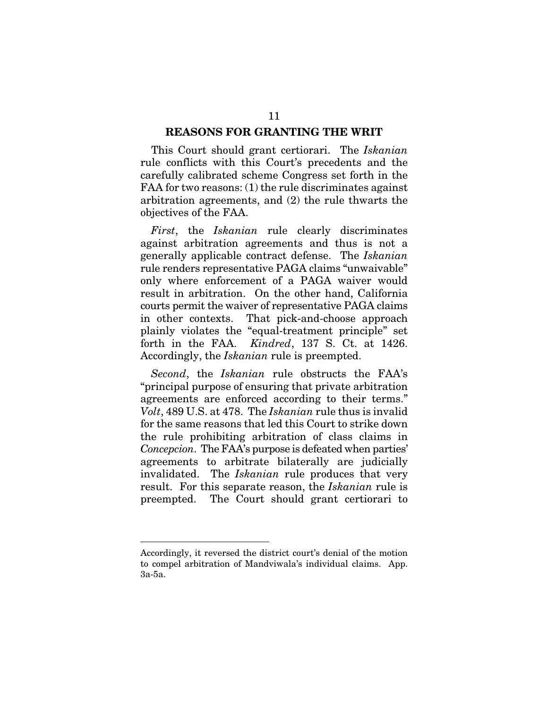#### REASONS FOR GRANTING THE WRIT

This Court should grant certiorari. The *Iskanian* rule conflicts with this Court's precedents and the carefully calibrated scheme Congress set forth in the FAA for two reasons: (1) the rule discriminates against arbitration agreements, and (2) the rule thwarts the objectives of the FAA.

*First*, the *Iskanian* rule clearly discriminates against arbitration agreements and thus is not a generally applicable contract defense. The *Iskanian* rule renders representative PAGA claims "unwaivable" only where enforcement of a PAGA waiver would result in arbitration. On the other hand, California courts permit the waiver of representative PAGA claims in other contexts. That pick-and-choose approach plainly violates the "equal-treatment principle" set forth in the FAA. *Kindred*, 137 S. Ct. at 1426. Accordingly, the *Iskanian* rule is preempted.

*Second*, the *Iskanian* rule obstructs the FAA's "principal purpose of ensuring that private arbitration agreements are enforced according to their terms." *Volt*, 489 U.S. at 478. The *Iskanian* rule thus is invalid for the same reasons that led this Court to strike down the rule prohibiting arbitration of class claims in *Concepcion*. The FAA's purpose is defeated when parties' agreements to arbitrate bilaterally are judicially invalidated. The *Iskanian* rule produces that very result. For this separate reason, the *Iskanian* rule is preempted. The Court should grant certiorari to

<u>.</u>

Accordingly, it reversed the district court's denial of the motion to compel arbitration of Mandviwala's individual claims. App. 3a-5a.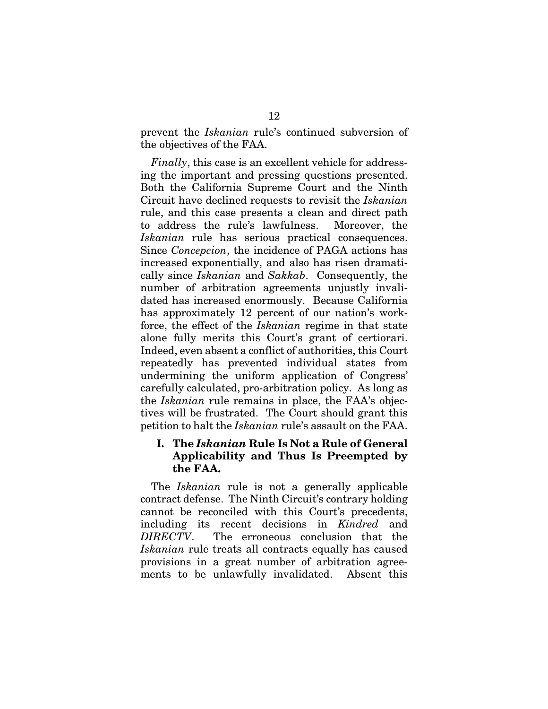prevent the *Iskanian* rule's continued subversion of the objectives of the FAA.

*Finally*, this case is an excellent vehicle for addressing the important and pressing questions presented. Both the California Supreme Court and the Ninth Circuit have declined requests to revisit the *Iskanian* rule, and this case presents a clean and direct path to address the rule's lawfulness. Moreover, the *Iskanian* rule has serious practical consequences. Since *Concepcion*, the incidence of PAGA actions has increased exponentially, and also has risen dramatically since *Iskanian* and *Sakkab*. Consequently, the number of arbitration agreements unjustly invalidated has increased enormously. Because California has approximately 12 percent of our nation's workforce, the effect of the *Iskanian* regime in that state alone fully merits this Court's grant of certiorari. Indeed, even absent a conflict of authorities, this Court repeatedly has prevented individual states from undermining the uniform application of Congress' carefully calculated, pro-arbitration policy. As long as the *Iskanian* rule remains in place, the FAA's objectives will be frustrated. The Court should grant this petition to halt the *Iskanian* rule's assault on the FAA.

## I. The *Iskanian* Rule Is Not a Rule of General Applicability and Thus Is Preempted by the FAA.

The *Iskanian* rule is not a generally applicable contract defense. The Ninth Circuit's contrary holding cannot be reconciled with this Court's precedents, including its recent decisions in *Kindred* and *DIRECTV*. The erroneous conclusion that the *Iskanian* rule treats all contracts equally has caused provisions in a great number of arbitration agreements to be unlawfully invalidated. Absent this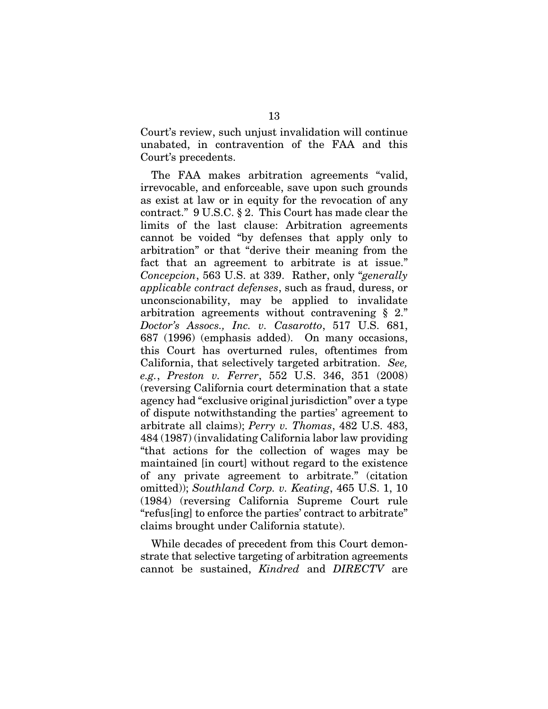Court's review, such unjust invalidation will continue unabated, in contravention of the FAA and this Court's precedents.

The FAA makes arbitration agreements "valid, irrevocable, and enforceable, save upon such grounds as exist at law or in equity for the revocation of any contract." 9 U.S.C. § 2. This Court has made clear the limits of the last clause: Arbitration agreements cannot be voided "by defenses that apply only to arbitration" or that "derive their meaning from the fact that an agreement to arbitrate is at issue." *Concepcion*, 563 U.S. at 339. Rather, only "*generally applicable contract defenses*, such as fraud, duress, or unconscionability, may be applied to invalidate arbitration agreements without contravening § 2." *Doctor's Assocs., Inc. v. Casarotto*, 517 U.S. 681, 687 (1996) (emphasis added). On many occasions, this Court has overturned rules, oftentimes from California, that selectively targeted arbitration. *See, e.g.*, *Preston v. Ferrer*, 552 U.S. 346, 351 (2008) (reversing California court determination that a state agency had "exclusive original jurisdiction" over a type of dispute notwithstanding the parties' agreement to arbitrate all claims); *Perry v. Thomas*, 482 U.S. 483, 484 (1987) (invalidating California labor law providing "that actions for the collection of wages may be maintained [in court] without regard to the existence of any private agreement to arbitrate." (citation omitted)); *Southland Corp. v. Keating*, 465 U.S. 1, 10 (1984) (reversing California Supreme Court rule "refus[ing] to enforce the parties' contract to arbitrate" claims brought under California statute).

While decades of precedent from this Court demonstrate that selective targeting of arbitration agreements cannot be sustained, *Kindred* and *DIRECTV* are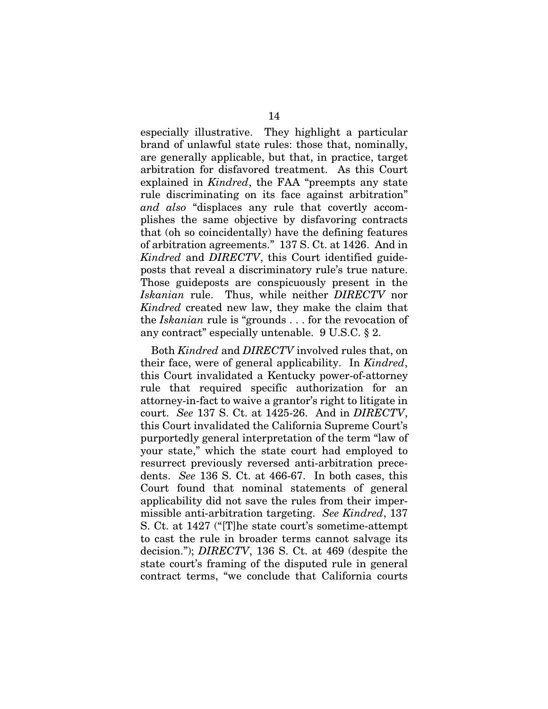especially illustrative. They highlight a particular brand of unlawful state rules: those that, nominally, are generally applicable, but that, in practice, target arbitration for disfavored treatment. As this Court explained in *Kindred*, the FAA "preempts any state rule discriminating on its face against arbitration" *and also* "displaces any rule that covertly accomplishes the same objective by disfavoring contracts that (oh so coincidentally) have the defining features of arbitration agreements." 137 S. Ct. at 1426. And in *Kindred* and *DIRECTV*, this Court identified guideposts that reveal a discriminatory rule's true nature. Those guideposts are conspicuously present in the *Iskanian* rule. Thus, while neither *DIRECTV* nor *Kindred* created new law, they make the claim that the *Iskanian* rule is "grounds . . . for the revocation of any contract" especially untenable. 9 U.S.C. § 2.

Both *Kindred* and *DIRECTV* involved rules that, on their face, were of general applicability. In *Kindred*, this Court invalidated a Kentucky power-of-attorney rule that required specific authorization for an attorney-in-fact to waive a grantor's right to litigate in court. *See* 137 S. Ct. at 1425-26. And in *DIRECTV*, this Court invalidated the California Supreme Court's purportedly general interpretation of the term "law of your state," which the state court had employed to resurrect previously reversed anti-arbitration precedents. *See* 136 S. Ct. at 466-67. In both cases, this Court found that nominal statements of general applicability did not save the rules from their impermissible anti-arbitration targeting. *See Kindred*, 137 S. Ct. at 1427 ("[T]he state court's sometime-attempt to cast the rule in broader terms cannot salvage its decision."); *DIRECTV*, 136 S. Ct. at 469 (despite the state court's framing of the disputed rule in general contract terms, "we conclude that California courts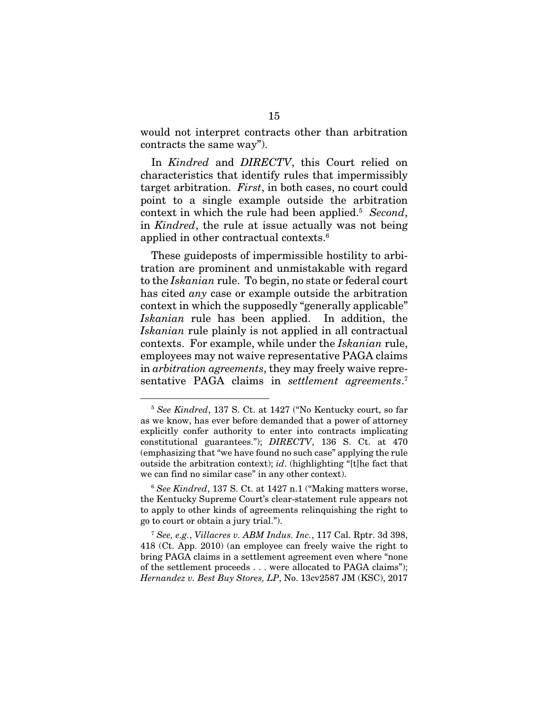would not interpret contracts other than arbitration contracts the same way").

In *Kindred* and *DIRECTV*, this Court relied on characteristics that identify rules that impermissibly target arbitration. *First*, in both cases, no court could point to a single example outside the arbitration context in which the rule had been applied.5 *Second*, in *Kindred*, the rule at issue actually was not being applied in other contractual contexts.<sup>6</sup>

These guideposts of impermissible hostility to arbitration are prominent and unmistakable with regard to the *Iskanian* rule. To begin, no state or federal court has cited *any* case or example outside the arbitration context in which the supposedly "generally applicable" *Iskanian* rule has been applied. In addition, the *Iskanian* rule plainly is not applied in all contractual contexts. For example, while under the *Iskanian* rule, employees may not waive representative PAGA claims in *arbitration agreements*, they may freely waive representative PAGA claims in *settlement agreements*. 7

 <sup>5</sup> *See Kindred*, 137 S. Ct. at 1427 ("No Kentucky court, so far as we know, has ever before demanded that a power of attorney explicitly confer authority to enter into contracts implicating constitutional guarantees."); *DIRECTV*, 136 S. Ct. at 470 (emphasizing that "we have found no such case" applying the rule outside the arbitration context); *id*. (highlighting "[t]he fact that we can find no similar case" in any other context).

<sup>6</sup> *See Kindred*, 137 S. Ct. at 1427 n.1 ("Making matters worse, the Kentucky Supreme Court's clear-statement rule appears not to apply to other kinds of agreements relinquishing the right to go to court or obtain a jury trial.").

<sup>7</sup> *See, e.g.*, *Villacres v. ABM Indus. Inc.*, 117 Cal. Rptr. 3d 398, 418 (Ct. App. 2010) (an employee can freely waive the right to bring PAGA claims in a settlement agreement even where "none of the settlement proceeds . . . were allocated to PAGA claims"); *Hernandez v. Best Buy Stores, LP*, No. 13cv2587 JM (KSC), 2017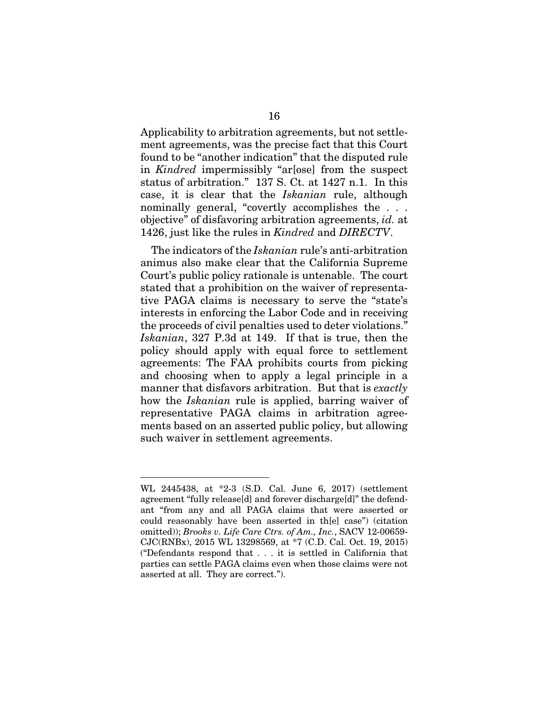Applicability to arbitration agreements, but not settlement agreements, was the precise fact that this Court found to be "another indication" that the disputed rule in *Kindred* impermissibly "ar[ose] from the suspect status of arbitration." 137 S. Ct. at 1427 n.1. In this case, it is clear that the *Iskanian* rule, although nominally general, "covertly accomplishes the . . . objective" of disfavoring arbitration agreements, *id.* at 1426, just like the rules in *Kindred* and *DIRECTV*.

The indicators of the *Iskanian* rule's anti-arbitration animus also make clear that the California Supreme Court's public policy rationale is untenable. The court stated that a prohibition on the waiver of representative PAGA claims is necessary to serve the "state's interests in enforcing the Labor Code and in receiving the proceeds of civil penalties used to deter violations." *Iskanian*, 327 P.3d at 149. If that is true, then the policy should apply with equal force to settlement agreements: The FAA prohibits courts from picking and choosing when to apply a legal principle in a manner that disfavors arbitration. But that is *exactly* how the *Iskanian* rule is applied, barring waiver of representative PAGA claims in arbitration agreements based on an asserted public policy, but allowing such waiver in settlement agreements.

<u>.</u>

WL 2445438, at \*2-3 (S.D. Cal. June 6, 2017) (settlement agreement "fully release[d] and forever discharge[d]" the defendant "from any and all PAGA claims that were asserted or could reasonably have been asserted in th[e] case") (citation omitted)); *Brooks v. Life Care Ctrs. of Am., Inc.*, SACV 12-00659- CJC(RNBx), 2015 WL 13298569, at \*7 (C.D. Cal. Oct. 19, 2015) ("Defendants respond that . . . it is settled in California that parties can settle PAGA claims even when those claims were not asserted at all. They are correct.").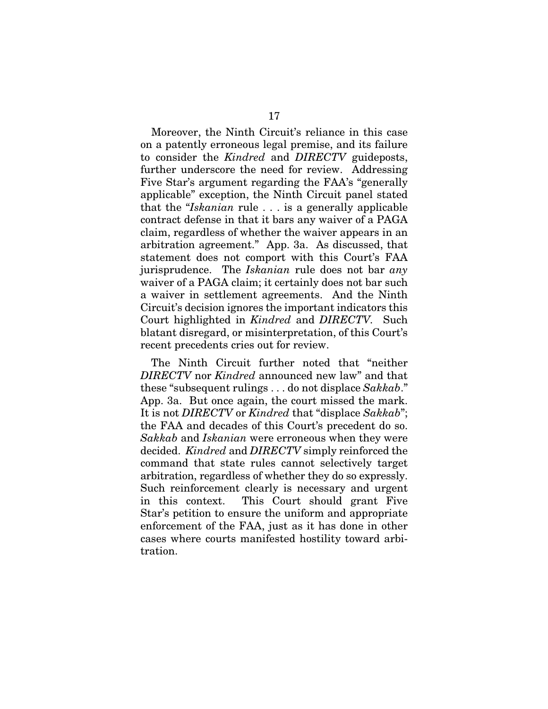Moreover, the Ninth Circuit's reliance in this case on a patently erroneous legal premise, and its failure to consider the *Kindred* and *DIRECTV* guideposts, further underscore the need for review. Addressing Five Star's argument regarding the FAA's "generally applicable" exception, the Ninth Circuit panel stated that the "*Iskanian* rule . . . is a generally applicable contract defense in that it bars any waiver of a PAGA claim, regardless of whether the waiver appears in an arbitration agreement." App. 3a. As discussed, that statement does not comport with this Court's FAA jurisprudence. The *Iskanian* rule does not bar *any* waiver of a PAGA claim; it certainly does not bar such a waiver in settlement agreements. And the Ninth Circuit's decision ignores the important indicators this Court highlighted in *Kindred* and *DIRECTV.* Such blatant disregard, or misinterpretation, of this Court's recent precedents cries out for review.

The Ninth Circuit further noted that "neither *DIRECTV* nor *Kindred* announced new law" and that these "subsequent rulings . . . do not displace *Sakkab*." App. 3a. But once again, the court missed the mark. It is not *DIRECTV* or *Kindred* that "displace *Sakkab*"; the FAA and decades of this Court's precedent do so. *Sakkab* and *Iskanian* were erroneous when they were decided. *Kindred* and *DIRECTV* simply reinforced the command that state rules cannot selectively target arbitration, regardless of whether they do so expressly. Such reinforcement clearly is necessary and urgent in this context. This Court should grant Five Star's petition to ensure the uniform and appropriate enforcement of the FAA, just as it has done in other cases where courts manifested hostility toward arbitration.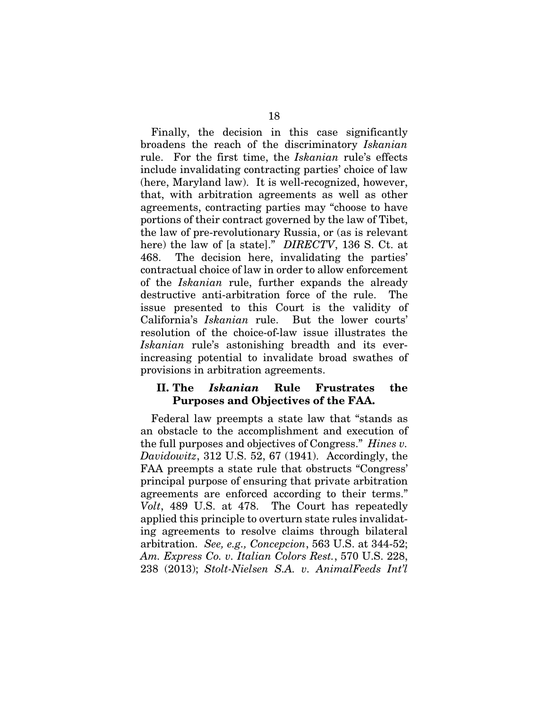Finally, the decision in this case significantly broadens the reach of the discriminatory *Iskanian* rule. For the first time, the *Iskanian* rule's effects include invalidating contracting parties' choice of law (here, Maryland law). It is well-recognized, however, that, with arbitration agreements as well as other agreements, contracting parties may "choose to have portions of their contract governed by the law of Tibet, the law of pre-revolutionary Russia, or (as is relevant here) the law of [a state]." *DIRECTV*, 136 S. Ct. at 468. The decision here, invalidating the parties' contractual choice of law in order to allow enforcement of the *Iskanian* rule, further expands the already destructive anti-arbitration force of the rule. The issue presented to this Court is the validity of California's *Iskanian* rule. But the lower courts' resolution of the choice-of-law issue illustrates the *Iskanian* rule's astonishing breadth and its everincreasing potential to invalidate broad swathes of provisions in arbitration agreements.

### II. The *Iskanian* Rule Frustrates the Purposes and Objectives of the FAA.

Federal law preempts a state law that "stands as an obstacle to the accomplishment and execution of the full purposes and objectives of Congress." *Hines v. Davidowitz*, 312 U.S. 52, 67 (1941). Accordingly, the FAA preempts a state rule that obstructs "Congress' principal purpose of ensuring that private arbitration agreements are enforced according to their terms." *Volt*, 489 U.S. at 478. The Court has repeatedly applied this principle to overturn state rules invalidating agreements to resolve claims through bilateral arbitration. *See, e.g., Concepcion*, 563 U.S. at 344-52; *Am. Express Co. v. Italian Colors Rest.*, 570 U.S. 228, 238 (2013); *Stolt-Nielsen S.A. v. AnimalFeeds Int'l*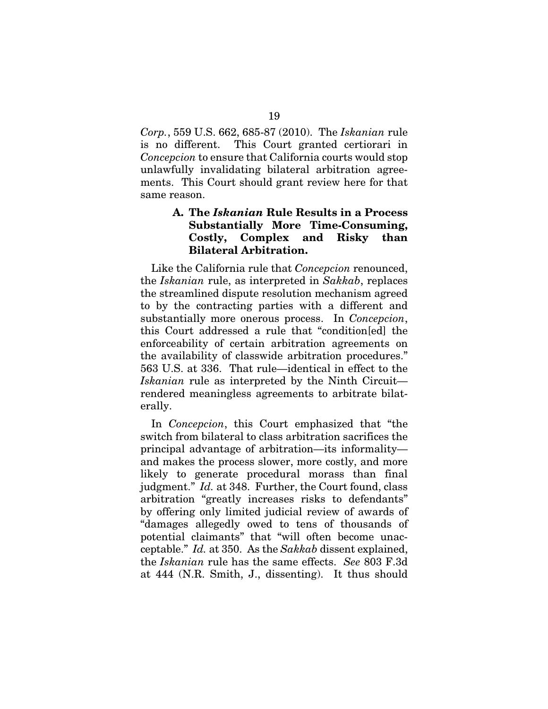*Corp.*, 559 U.S. 662, 685-87 (2010). The *Iskanian* rule is no different. This Court granted certiorari in *Concepcion* to ensure that California courts would stop unlawfully invalidating bilateral arbitration agreements. This Court should grant review here for that same reason.

## A. The *Iskanian* Rule Results in a Process Substantially More Time-Consuming, Costly, Complex and Risky than Bilateral Arbitration.

Like the California rule that *Concepcion* renounced, the *Iskanian* rule, as interpreted in *Sakkab*, replaces the streamlined dispute resolution mechanism agreed to by the contracting parties with a different and substantially more onerous process. In *Concepcion*, this Court addressed a rule that "condition[ed] the enforceability of certain arbitration agreements on the availability of classwide arbitration procedures." 563 U.S. at 336. That rule—identical in effect to the *Iskanian* rule as interpreted by the Ninth Circuit rendered meaningless agreements to arbitrate bilaterally.

In *Concepcion*, this Court emphasized that "the switch from bilateral to class arbitration sacrifices the principal advantage of arbitration—its informality and makes the process slower, more costly, and more likely to generate procedural morass than final judgment." *Id.* at 348. Further, the Court found, class arbitration "greatly increases risks to defendants" by offering only limited judicial review of awards of "damages allegedly owed to tens of thousands of potential claimants" that "will often become unacceptable." *Id.* at 350. As the *Sakkab* dissent explained, the *Iskanian* rule has the same effects. *See* 803 F.3d at 444 (N.R. Smith, J., dissenting). It thus should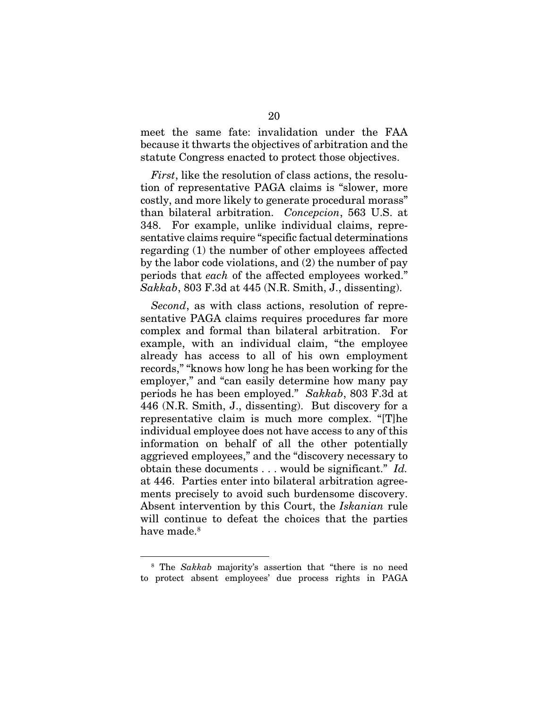meet the same fate: invalidation under the FAA because it thwarts the objectives of arbitration and the statute Congress enacted to protect those objectives.

*First*, like the resolution of class actions, the resolution of representative PAGA claims is "slower, more costly, and more likely to generate procedural morass" than bilateral arbitration. *Concepcion*, 563 U.S. at 348. For example, unlike individual claims, representative claims require "specific factual determinations regarding (1) the number of other employees affected by the labor code violations, and (2) the number of pay periods that *each* of the affected employees worked." *Sakkab*, 803 F.3d at 445 (N.R. Smith, J., dissenting).

*Second*, as with class actions, resolution of representative PAGA claims requires procedures far more complex and formal than bilateral arbitration. For example, with an individual claim, "the employee already has access to all of his own employment records," "knows how long he has been working for the employer," and "can easily determine how many pay periods he has been employed." *Sakkab*, 803 F.3d at 446 (N.R. Smith, J., dissenting). But discovery for a representative claim is much more complex. "[T]he individual employee does not have access to any of this information on behalf of all the other potentially aggrieved employees," and the "discovery necessary to obtain these documents . . . would be significant." *Id.*  at 446. Parties enter into bilateral arbitration agreements precisely to avoid such burdensome discovery. Absent intervention by this Court, the *Iskanian* rule will continue to defeat the choices that the parties have made.<sup>8</sup>

<sup>&</sup>lt;sup>8</sup> The *Sakkab* majority's assertion that "there is no need to protect absent employees' due process rights in PAGA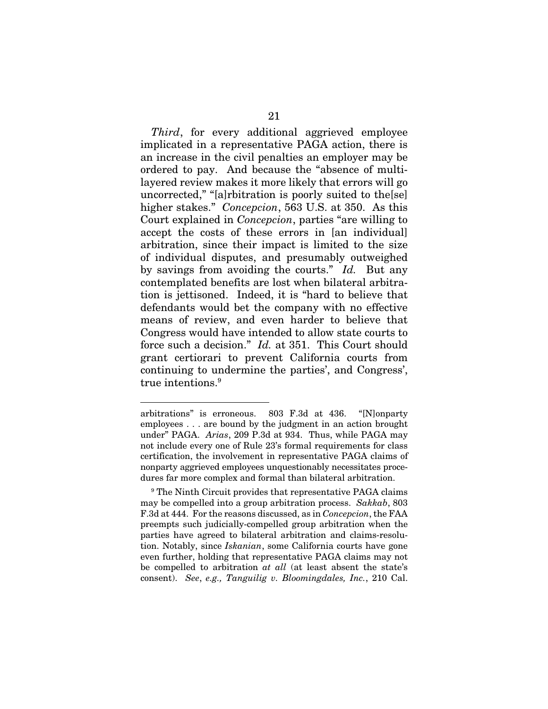*Third*, for every additional aggrieved employee implicated in a representative PAGA action, there is an increase in the civil penalties an employer may be ordered to pay. And because the "absence of multilayered review makes it more likely that errors will go uncorrected," "[a]rbitration is poorly suited to the[se] higher stakes." *Concepcion*, 563 U.S. at 350. As this Court explained in *Concepcion*, parties "are willing to accept the costs of these errors in [an individual] arbitration, since their impact is limited to the size of individual disputes, and presumably outweighed by savings from avoiding the courts." *Id.* But any contemplated benefits are lost when bilateral arbitration is jettisoned. Indeed, it is "hard to believe that defendants would bet the company with no effective means of review, and even harder to believe that Congress would have intended to allow state courts to force such a decision." *Id.* at 351. This Court should grant certiorari to prevent California courts from continuing to undermine the parties', and Congress', true intentions.<sup>9</sup>

<u>.</u>

arbitrations" is erroneous. 803 F.3d at 436. "[N]onparty employees . . . are bound by the judgment in an action brought under" PAGA. *Arias*, 209 P.3d at 934. Thus, while PAGA may not include every one of Rule 23's formal requirements for class certification, the involvement in representative PAGA claims of nonparty aggrieved employees unquestionably necessitates procedures far more complex and formal than bilateral arbitration.

<sup>&</sup>lt;sup>9</sup> The Ninth Circuit provides that representative PAGA claims may be compelled into a group arbitration process. *Sakkab*, 803 F.3d at 444. For the reasons discussed, as in *Concepcion*, the FAA preempts such judicially-compelled group arbitration when the parties have agreed to bilateral arbitration and claims-resolution. Notably, since *Iskanian*, some California courts have gone even further, holding that representative PAGA claims may not be compelled to arbitration *at all* (at least absent the state's consent). *See*, *e.g., Tanguilig v. Bloomingdales, Inc.*, 210 Cal.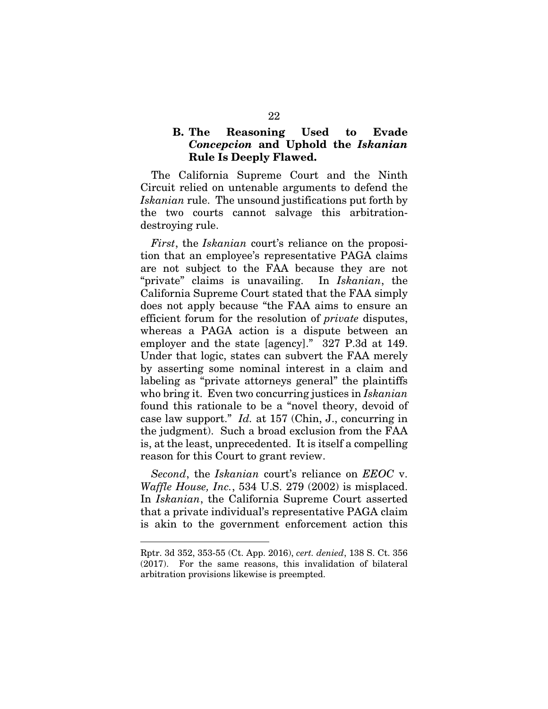## B. The Reasoning Used to Evade *Concepcion* and Uphold the *Iskanian*  Rule Is Deeply Flawed.

The California Supreme Court and the Ninth Circuit relied on untenable arguments to defend the *Iskanian* rule. The unsound justifications put forth by the two courts cannot salvage this arbitrationdestroying rule.

*First*, the *Iskanian* court's reliance on the proposition that an employee's representative PAGA claims are not subject to the FAA because they are not "private" claims is unavailing. In *Iskanian*, the California Supreme Court stated that the FAA simply does not apply because "the FAA aims to ensure an efficient forum for the resolution of *private* disputes, whereas a PAGA action is a dispute between an employer and the state [agency]." 327 P.3d at 149. Under that logic, states can subvert the FAA merely by asserting some nominal interest in a claim and labeling as "private attorneys general" the plaintiffs who bring it. Even two concurring justices in *Iskanian* found this rationale to be a "novel theory, devoid of case law support." *Id.* at 157 (Chin, J., concurring in the judgment). Such a broad exclusion from the FAA is, at the least, unprecedented. It is itself a compelling reason for this Court to grant review.

*Second*, the *Iskanian* court's reliance on *EEOC* v. *Waffle House, Inc.*, 534 U.S. 279 (2002) is misplaced. In *Iskanian*, the California Supreme Court asserted that a private individual's representative PAGA claim is akin to the government enforcement action this

<u>.</u>

Rptr. 3d 352, 353-55 (Ct. App. 2016), *cert. denied*, 138 S. Ct. 356 (2017). For the same reasons, this invalidation of bilateral arbitration provisions likewise is preempted.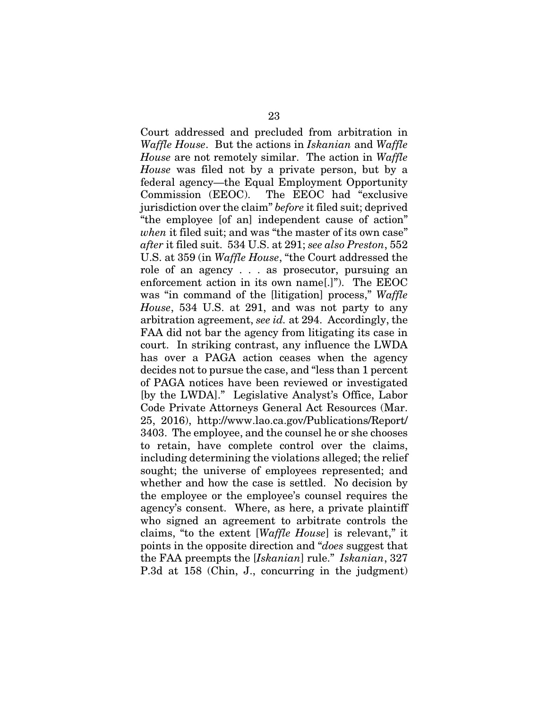Court addressed and precluded from arbitration in *Waffle House*. But the actions in *Iskanian* and *Waffle House* are not remotely similar. The action in *Waffle House* was filed not by a private person, but by a federal agency—the Equal Employment Opportunity Commission (EEOC). The EEOC had "exclusive jurisdiction over the claim" *before* it filed suit; deprived "the employee [of an] independent cause of action" *when* it filed suit; and was "the master of its own case" *after* it filed suit. 534 U.S. at 291; *see also Preston*, 552 U.S. at 359 (in *Waffle House*, "the Court addressed the role of an agency . . . as prosecutor, pursuing an enforcement action in its own name[.]"). The EEOC was "in command of the [litigation] process," *Waffle House*, 534 U.S. at 291, and was not party to any arbitration agreement, *see id.* at 294. Accordingly, the FAA did not bar the agency from litigating its case in court. In striking contrast, any influence the LWDA has over a PAGA action ceases when the agency decides not to pursue the case, and "less than 1 percent of PAGA notices have been reviewed or investigated [by the LWDA]." Legislative Analyst's Office, Labor Code Private Attorneys General Act Resources (Mar. 25, 2016), http://www.lao.ca.gov/Publications/Report/ 3403. The employee, and the counsel he or she chooses to retain, have complete control over the claims, including determining the violations alleged; the relief sought; the universe of employees represented; and whether and how the case is settled. No decision by the employee or the employee's counsel requires the agency's consent. Where, as here, a private plaintiff who signed an agreement to arbitrate controls the claims, "to the extent [*Waffle House*] is relevant," it points in the opposite direction and "*does* suggest that the FAA preempts the [*Iskanian*] rule." *Iskanian*, 327 P.3d at 158 (Chin, J., concurring in the judgment)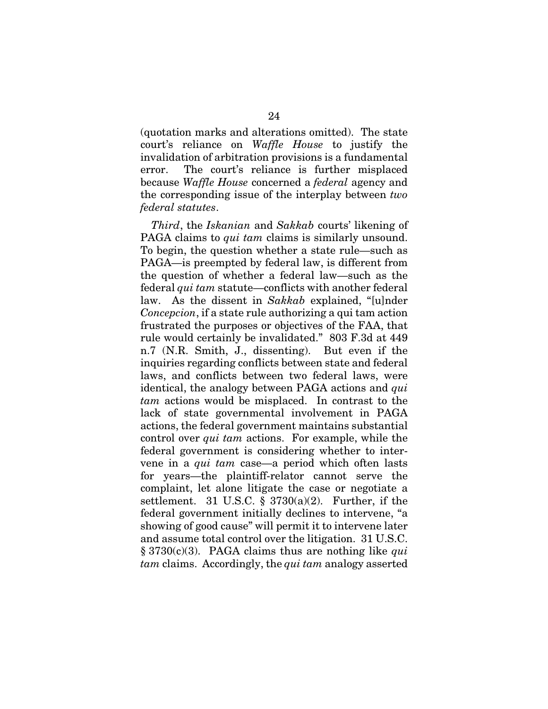(quotation marks and alterations omitted). The state court's reliance on *Waffle House* to justify the invalidation of arbitration provisions is a fundamental error. The court's reliance is further misplaced because *Waffle House* concerned a *federal* agency and the corresponding issue of the interplay between *two federal statutes*.

*Third*, the *Iskanian* and *Sakkab* courts' likening of PAGA claims to *qui tam* claims is similarly unsound. To begin, the question whether a state rule—such as PAGA—is preempted by federal law, is different from the question of whether a federal law—such as the federal *qui tam* statute—conflicts with another federal law. As the dissent in *Sakkab* explained, "[u]nder *Concepcion*, if a state rule authorizing a qui tam action frustrated the purposes or objectives of the FAA, that rule would certainly be invalidated." 803 F.3d at 449 n.7 (N.R. Smith, J., dissenting). But even if the inquiries regarding conflicts between state and federal laws, and conflicts between two federal laws, were identical, the analogy between PAGA actions and *qui tam* actions would be misplaced. In contrast to the lack of state governmental involvement in PAGA actions, the federal government maintains substantial control over *qui tam* actions. For example, while the federal government is considering whether to intervene in a *qui tam* case—a period which often lasts for years—the plaintiff-relator cannot serve the complaint, let alone litigate the case or negotiate a settlement. 31 U.S.C.  $\S$  3730(a)(2). Further, if the federal government initially declines to intervene, "a showing of good cause" will permit it to intervene later and assume total control over the litigation. 31 U.S.C. § 3730(c)(3). PAGA claims thus are nothing like *qui tam* claims. Accordingly, the *qui tam* analogy asserted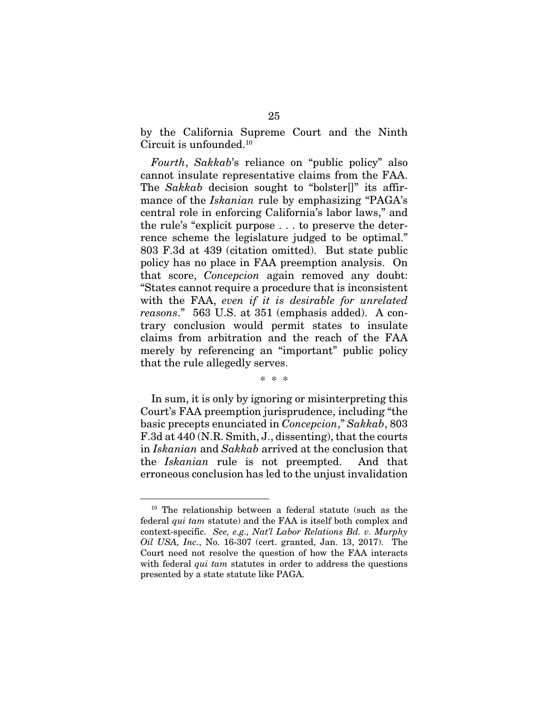by the California Supreme Court and the Ninth Circuit is unfounded.<sup>10</sup>

*Fourth*, *Sakkab*'s reliance on "public policy" also cannot insulate representative claims from the FAA. The *Sakkab* decision sought to "bolster[]" its affirmance of the *Iskanian* rule by emphasizing "PAGA's central role in enforcing California's labor laws," and the rule's "explicit purpose . . . to preserve the deterrence scheme the legislature judged to be optimal." 803 F.3d at 439 (citation omitted). But state public policy has no place in FAA preemption analysis. On that score, *Concepcion* again removed any doubt: "States cannot require a procedure that is inconsistent with the FAA, *even if it is desirable for unrelated reasons*." 563 U.S. at 351 (emphasis added). A contrary conclusion would permit states to insulate claims from arbitration and the reach of the FAA merely by referencing an "important" public policy that the rule allegedly serves.

\* \* \*

In sum, it is only by ignoring or misinterpreting this Court's FAA preemption jurisprudence, including "the basic precepts enunciated in *Concepcion*," *Sakkab*, 803 F.3d at 440 (N.R. Smith, J., dissenting), that the courts in *Iskanian* and *Sakkab* arrived at the conclusion that the *Iskanian* rule is not preempted. And that erroneous conclusion has led to the unjust invalidation

 <sup>10</sup> The relationship between a federal statute (such as the federal *qui tam* statute) and the FAA is itself both complex and context-specific. *See, e.g., Nat'l Labor Relations Bd. v. Murphy Oil USA, Inc.*, No. 16-307 (cert. granted, Jan. 13, 2017). The Court need not resolve the question of how the FAA interacts with federal *qui tam* statutes in order to address the questions presented by a state statute like PAGA.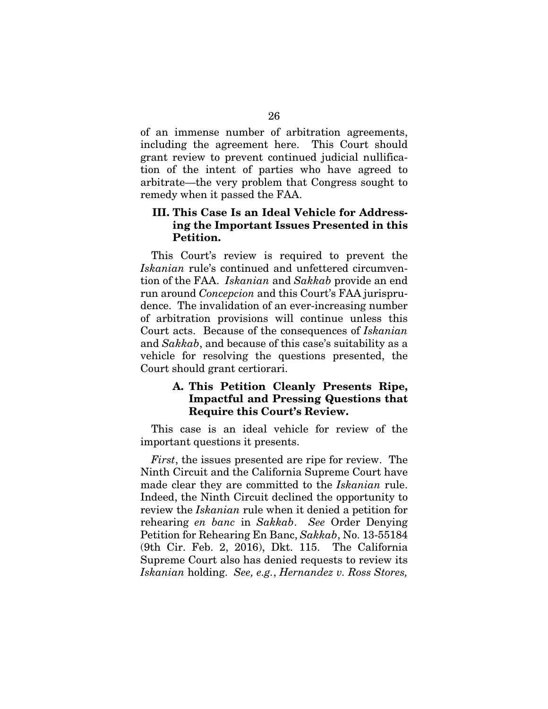of an immense number of arbitration agreements, including the agreement here. This Court should grant review to prevent continued judicial nullification of the intent of parties who have agreed to arbitrate—the very problem that Congress sought to remedy when it passed the FAA.

## III. This Case Is an Ideal Vehicle for Addressing the Important Issues Presented in this Petition.

This Court's review is required to prevent the *Iskanian* rule's continued and unfettered circumvention of the FAA. *Iskanian* and *Sakkab* provide an end run around *Concepcion* and this Court's FAA jurisprudence. The invalidation of an ever-increasing number of arbitration provisions will continue unless this Court acts. Because of the consequences of *Iskanian* and *Sakkab*, and because of this case's suitability as a vehicle for resolving the questions presented, the Court should grant certiorari.

## A. This Petition Cleanly Presents Ripe, Impactful and Pressing Questions that Require this Court's Review.

This case is an ideal vehicle for review of the important questions it presents.

*First*, the issues presented are ripe for review. The Ninth Circuit and the California Supreme Court have made clear they are committed to the *Iskanian* rule. Indeed, the Ninth Circuit declined the opportunity to review the *Iskanian* rule when it denied a petition for rehearing *en banc* in *Sakkab*. *See* Order Denying Petition for Rehearing En Banc, *Sakkab*, No. 13-55184 (9th Cir. Feb. 2, 2016), Dkt. 115. The California Supreme Court also has denied requests to review its *Iskanian* holding. *See, e.g.*, *Hernandez v. Ross Stores,*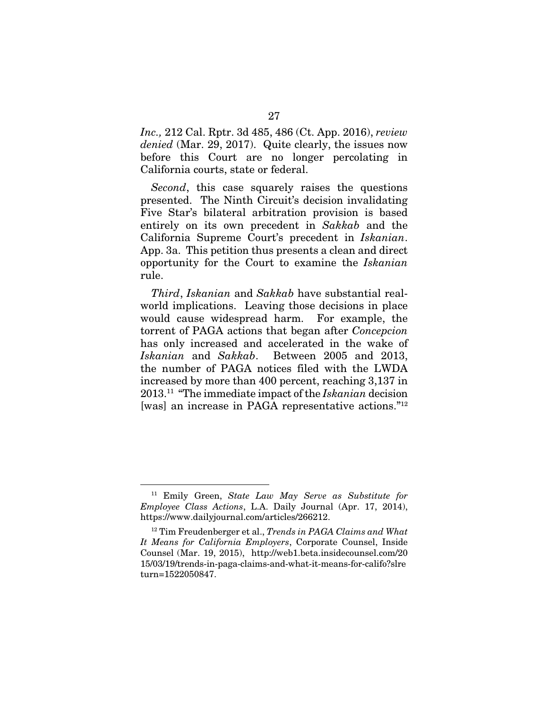*Inc.,* 212 Cal. Rptr. 3d 485, 486 (Ct. App. 2016), *review denied* (Mar. 29, 2017). Quite clearly, the issues now before this Court are no longer percolating in California courts, state or federal.

*Second*, this case squarely raises the questions presented. The Ninth Circuit's decision invalidating Five Star's bilateral arbitration provision is based entirely on its own precedent in *Sakkab* and the California Supreme Court's precedent in *Iskanian*. App. 3a. This petition thus presents a clean and direct opportunity for the Court to examine the *Iskanian*  rule.

*Third*, *Iskanian* and *Sakkab* have substantial realworld implications. Leaving those decisions in place would cause widespread harm. For example, the torrent of PAGA actions that began after *Concepcion* has only increased and accelerated in the wake of *Iskanian* and *Sakkab*. Between 2005 and 2013, the number of PAGA notices filed with the LWDA increased by more than 400 percent, reaching 3,137 in 2013.11 "The immediate impact of the *Iskanian* decision [was] an increase in PAGA representative actions."12

 <sup>11</sup> Emily Green, *State Law May Serve as Substitute for Employee Class Actions*, L.A. Daily Journal (Apr. 17, 2014), https://www.dailyjournal.com/articles/266212.

<sup>12</sup> Tim Freudenberger et al., *Trends in PAGA Claims and What It Means for California Employers*, Corporate Counsel, Inside Counsel (Mar. 19, 2015), http://web1.beta.insidecounsel.com/20 15/03/19/trends-in-paga-claims-and-what-it-means-for-califo?slre turn=1522050847.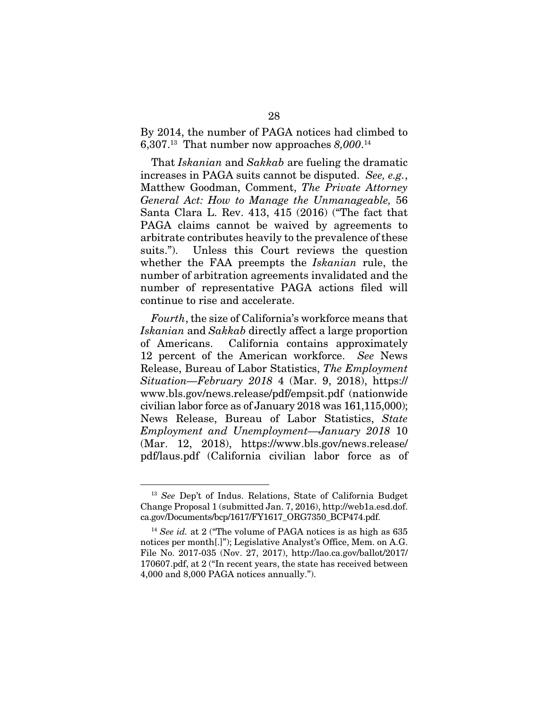By 2014, the number of PAGA notices had climbed to 6,307.13 That number now approaches *8,000*. 14

That *Iskanian* and *Sakkab* are fueling the dramatic increases in PAGA suits cannot be disputed. *See, e.g.*, Matthew Goodman, Comment, *The Private Attorney General Act: How to Manage the Unmanageable,* 56 Santa Clara L. Rev. 413, 415 (2016) ("The fact that PAGA claims cannot be waived by agreements to arbitrate contributes heavily to the prevalence of these suits."). Unless this Court reviews the question whether the FAA preempts the *Iskanian* rule, the number of arbitration agreements invalidated and the number of representative PAGA actions filed will continue to rise and accelerate.

*Fourth*, the size of California's workforce means that *Iskanian* and *Sakkab* directly affect a large proportion of Americans. California contains approximately 12 percent of the American workforce. *See* News Release, Bureau of Labor Statistics, *The Employment Situation—February 2018* 4 (Mar. 9, 2018), https:// www.bls.gov/news.release/pdf/empsit.pdf (nationwide civilian labor force as of January 2018 was 161,115,000); News Release, Bureau of Labor Statistics, *State Employment and Unemployment—January 2018* 10 (Mar. 12, 2018), https://www.bls.gov/news.release/ pdf/laus.pdf (California civilian labor force as of

 <sup>13</sup> *See* Dep't of Indus. Relations, State of California Budget Change Proposal 1 (submitted Jan. 7, 2016), http://web1a.esd.dof. ca.gov/Documents/bcp/1617/FY1617\_ORG7350\_BCP474.pdf.

<sup>&</sup>lt;sup>14</sup> See id. at 2 ("The volume of PAGA notices is as high as 635 notices per month[.]"); Legislative Analyst's Office, Mem. on A.G. File No. 2017-035 (Nov. 27, 2017), http://lao.ca.gov/ballot/2017/ 170607.pdf, at 2 ("In recent years, the state has received between 4,000 and 8,000 PAGA notices annually.").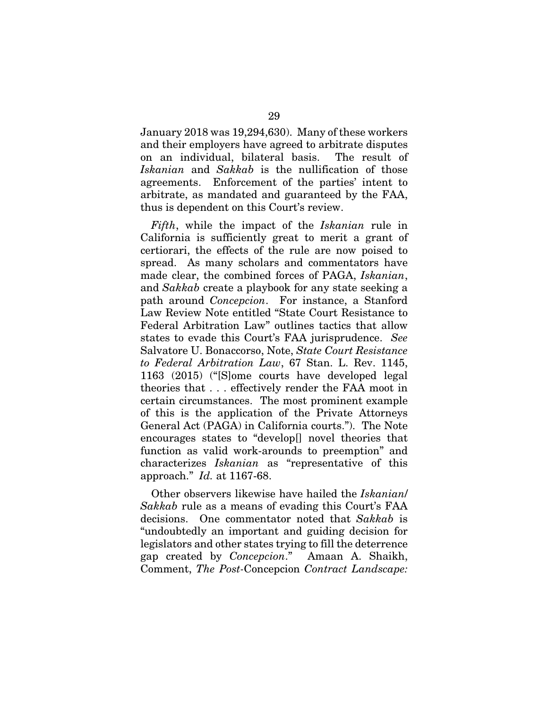January 2018 was 19,294,630). Many of these workers and their employers have agreed to arbitrate disputes on an individual, bilateral basis. The result of *Iskanian* and *Sakkab* is the nullification of those agreements. Enforcement of the parties' intent to arbitrate, as mandated and guaranteed by the FAA, thus is dependent on this Court's review.

*Fifth*, while the impact of the *Iskanian* rule in California is sufficiently great to merit a grant of certiorari, the effects of the rule are now poised to spread. As many scholars and commentators have made clear, the combined forces of PAGA, *Iskanian*, and *Sakkab* create a playbook for any state seeking a path around *Concepcion*. For instance, a Stanford Law Review Note entitled "State Court Resistance to Federal Arbitration Law" outlines tactics that allow states to evade this Court's FAA jurisprudence. *See*  Salvatore U. Bonaccorso, Note, *State Court Resistance to Federal Arbitration Law*, 67 Stan. L. Rev. 1145, 1163 (2015) ("[S]ome courts have developed legal theories that . . . effectively render the FAA moot in certain circumstances. The most prominent example of this is the application of the Private Attorneys General Act (PAGA) in California courts."). The Note encourages states to "develop[] novel theories that function as valid work-arounds to preemption" and characterizes *Iskanian* as "representative of this approach." *Id.* at 1167-68.

Other observers likewise have hailed the *Iskanian*/ *Sakkab* rule as a means of evading this Court's FAA decisions. One commentator noted that *Sakkab* is "undoubtedly an important and guiding decision for legislators and other states trying to fill the deterrence gap created by *Concepcion*." Amaan A. Shaikh, Comment, *The Post-*Concepcion *Contract Landscape:*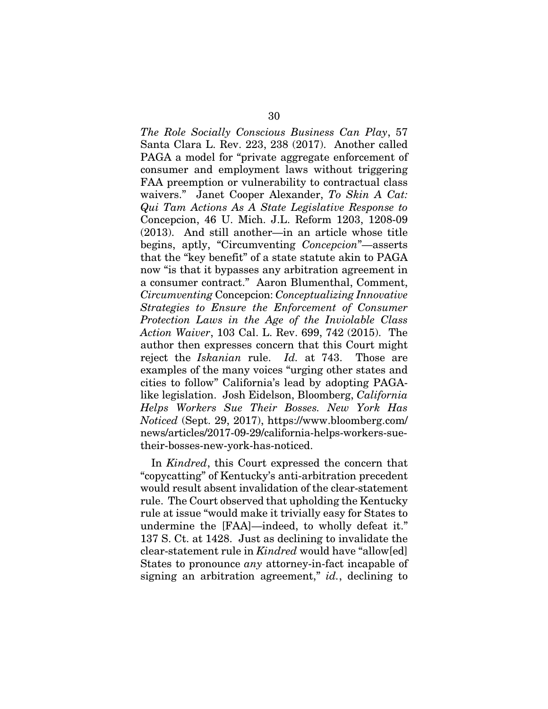*The Role Socially Conscious Business Can Play*, 57 Santa Clara L. Rev. 223, 238 (2017). Another called PAGA a model for "private aggregate enforcement of consumer and employment laws without triggering FAA preemption or vulnerability to contractual class waivers." Janet Cooper Alexander, *To Skin A Cat: Qui Tam Actions As A State Legislative Response to*  Concepcion, 46 U. Mich. J.L. Reform 1203, 1208-09 (2013). And still another—in an article whose title begins, aptly, "Circumventing *Concepcion*"—asserts that the "key benefit" of a state statute akin to PAGA now "is that it bypasses any arbitration agreement in a consumer contract." Aaron Blumenthal, Comment, *Circumventing* Concepcion: *Conceptualizing Innovative Strategies to Ensure the Enforcement of Consumer Protection Laws in the Age of the Inviolable Class Action Waiver*, 103 Cal. L. Rev. 699, 742 (2015). The author then expresses concern that this Court might reject the *Iskanian* rule. *Id.* at 743. Those are examples of the many voices "urging other states and cities to follow" California's lead by adopting PAGAlike legislation. Josh Eidelson, Bloomberg, *California Helps Workers Sue Their Bosses. New York Has Noticed* (Sept. 29, 2017), https://www.bloomberg.com/ news/articles/2017-09-29/california-helps-workers-suetheir-bosses-new-york-has-noticed.

In *Kindred*, this Court expressed the concern that "copycatting" of Kentucky's anti-arbitration precedent would result absent invalidation of the clear-statement rule. The Court observed that upholding the Kentucky rule at issue "would make it trivially easy for States to undermine the [FAA]—indeed, to wholly defeat it." 137 S. Ct. at 1428. Just as declining to invalidate the clear-statement rule in *Kindred* would have "allow[ed] States to pronounce *any* attorney-in-fact incapable of signing an arbitration agreement," *id.*, declining to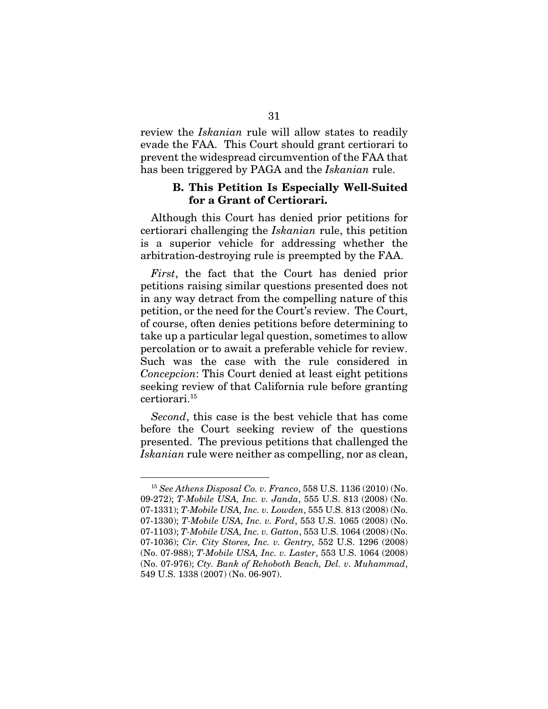review the *Iskanian* rule will allow states to readily evade the FAA. This Court should grant certiorari to prevent the widespread circumvention of the FAA that has been triggered by PAGA and the *Iskanian* rule.

### B. This Petition Is Especially Well-Suited for a Grant of Certiorari.

Although this Court has denied prior petitions for certiorari challenging the *Iskanian* rule, this petition is a superior vehicle for addressing whether the arbitration-destroying rule is preempted by the FAA.

*First*, the fact that the Court has denied prior petitions raising similar questions presented does not in any way detract from the compelling nature of this petition, or the need for the Court's review. The Court, of course, often denies petitions before determining to take up a particular legal question, sometimes to allow percolation or to await a preferable vehicle for review. Such was the case with the rule considered in *Concepcion*: This Court denied at least eight petitions seeking review of that California rule before granting certiorari.15

*Second*, this case is the best vehicle that has come before the Court seeking review of the questions presented. The previous petitions that challenged the *Iskanian* rule were neither as compelling, nor as clean,

 <sup>15</sup> *See Athens Disposal Co. v. Franco*, 558 U.S. 1136 (2010) (No. 09-272); *T-Mobile USA, Inc. v. Janda*, 555 U.S. 813 (2008) (No. 07-1331); *T-Mobile USA, Inc. v. Lowden*, 555 U.S. 813 (2008) (No. 07-1330); *T-Mobile USA, Inc. v. Ford*, 553 U.S. 1065 (2008) (No. 07-1103); *T-Mobile USA, Inc. v. Gatton*, 553 U.S. 1064 (2008) (No. 07-1036); *Cir. City Stores, Inc. v. Gentry,* 552 U.S. 1296 (2008) (No. 07-988); *T-Mobile USA, Inc. v. Laster*, 553 U.S. 1064 (2008) (No. 07-976); *Cty. Bank of Rehoboth Beach, Del. v. Muhammad*, 549 U.S. 1338 (2007) (No. 06-907).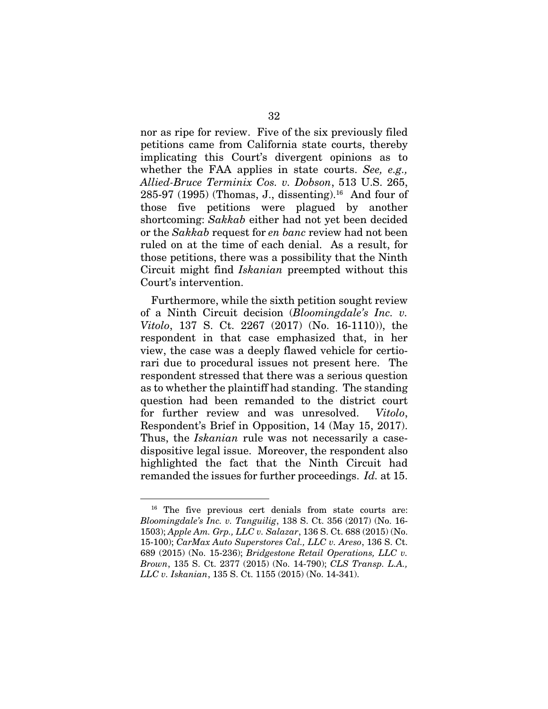nor as ripe for review. Five of the six previously filed petitions came from California state courts, thereby implicating this Court's divergent opinions as to whether the FAA applies in state courts. *See, e.g., Allied-Bruce Terminix Cos. v. Dobson*, 513 U.S. 265,  $285-97$  (1995) (Thomas, J., dissenting).<sup>16</sup> And four of those five petitions were plagued by another shortcoming: *Sakkab* either had not yet been decided or the *Sakkab* request for *en banc* review had not been ruled on at the time of each denial. As a result, for those petitions, there was a possibility that the Ninth Circuit might find *Iskanian* preempted without this Court's intervention.

Furthermore, while the sixth petition sought review of a Ninth Circuit decision (*Bloomingdale's Inc. v. Vitolo*, 137 S. Ct. 2267 (2017) (No. 16-1110)), the respondent in that case emphasized that, in her view, the case was a deeply flawed vehicle for certiorari due to procedural issues not present here. The respondent stressed that there was a serious question as to whether the plaintiff had standing. The standing question had been remanded to the district court for further review and was unresolved. *Vitolo*, Respondent's Brief in Opposition, 14 (May 15, 2017). Thus, the *Iskanian* rule was not necessarily a casedispositive legal issue. Moreover, the respondent also highlighted the fact that the Ninth Circuit had remanded the issues for further proceedings. *Id.* at 15.

<sup>&</sup>lt;sup>16</sup> The five previous cert denials from state courts are: *Bloomingdale's Inc. v. Tanguilig*, 138 S. Ct. 356 (2017) (No. 16- 1503); *Apple Am. Grp., LLC v. Salazar*, 136 S. Ct. 688 (2015) (No. 15-100); *CarMax Auto Superstores Cal., LLC v. Areso*, 136 S. Ct. 689 (2015) (No. 15-236); *Bridgestone Retail Operations, LLC v. Brown*, 135 S. Ct. 2377 (2015) (No. 14-790); *CLS Transp. L.A., LLC v. Iskanian*, 135 S. Ct. 1155 (2015) (No. 14-341).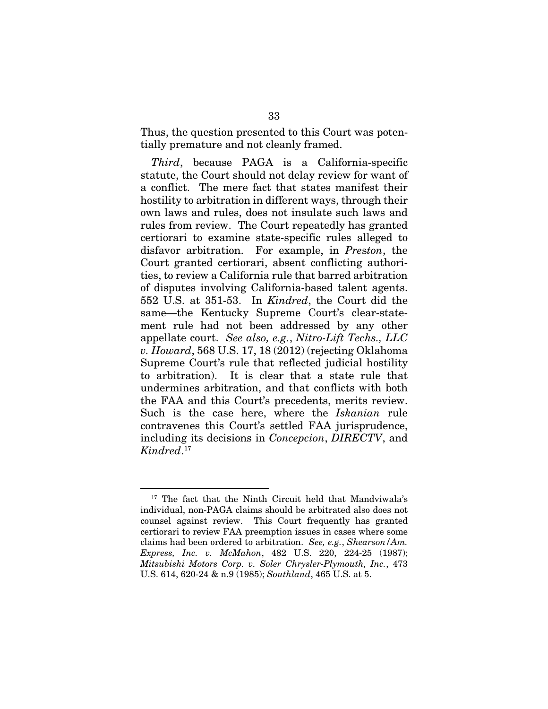Thus, the question presented to this Court was potentially premature and not cleanly framed.

*Third*, because PAGA is a California-specific statute, the Court should not delay review for want of a conflict. The mere fact that states manifest their hostility to arbitration in different ways, through their own laws and rules, does not insulate such laws and rules from review. The Court repeatedly has granted certiorari to examine state-specific rules alleged to disfavor arbitration. For example, in *Pre*s*ton*, the Court granted certiorari, absent conflicting authorities, to review a California rule that barred arbitration of disputes involving California-based talent agents. 552 U.S. at 351-53. In *Kindred*, the Court did the same—the Kentucky Supreme Court's clear-statement rule had not been addressed by any other appellate court. *See also, e.g.*, *Nitro-Lift Techs., LLC v. Howard*, 568 U.S. 17, 18 (2012) (rejecting Oklahoma Supreme Court's rule that reflected judicial hostility to arbitration). It is clear that a state rule that undermines arbitration, and that conflicts with both the FAA and this Court's precedents, merits review. Such is the case here, where the *Iskanian* rule contravenes this Court's settled FAA jurisprudence, including its decisions in *Concepcion*, *DIRECTV*, and *Kindred*. 17

<sup>&</sup>lt;sup>17</sup> The fact that the Ninth Circuit held that Mandviwala's individual, non-PAGA claims should be arbitrated also does not counsel against review. This Court frequently has granted certiorari to review FAA preemption issues in cases where some claims had been ordered to arbitration. *See, e.g.*, *Shearson/Am. Express, Inc. v. McMahon*, 482 U.S. 220, 224-25 (1987); *Mitsubishi Motors Corp. v. Soler Chrysler-Plymouth, Inc.*, 473 U.S. 614, 620-24 & n.9 (1985); *Southland*, 465 U.S. at 5.